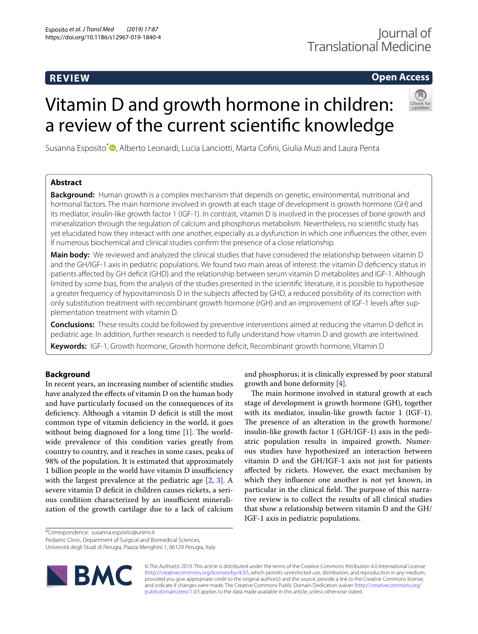# **REVIEW**

# **Open Access**

# Vitamin D and growth hormone in children: a review of the current scientifc knowledge



Susanna Esposito<sup>[\\*](http://orcid.org/0000-0003-4103-2837)</sup> D, Alberto Leonardi, Lucia Lanciotti, Marta Cofini, Giulia Muzi and Laura Penta

# **Abstract**

**Background:** Human growth is a complex mechanism that depends on genetic, environmental, nutritional and hormonal factors. The main hormone involved in growth at each stage of development is growth hormone (GH) and its mediator, insulin-like growth factor 1 (IGF-1). In contrast, vitamin D is involved in the processes of bone growth and mineralization through the regulation of calcium and phosphorus metabolism. Nevertheless, no scientifc study has yet elucidated how they interact with one another, especially as a dysfunction in which one infuences the other, even if numerous biochemical and clinical studies confrm the presence of a close relationship.

**Main body:** We reviewed and analyzed the clinical studies that have considered the relationship between vitamin D and the GH/IGF-1 axis in pediatric populations. We found two main areas of interest: the vitamin D defciency status in patients afected by GH defcit (GHD) and the relationship between serum vitamin D metabolites and IGF-1. Although limited by some bias, from the analysis of the studies presented in the scientifc literature, it is possible to hypothesize a greater frequency of hypovitaminosis D in the subjects afected by GHD, a reduced possibility of its correction with only substitution treatment with recombinant growth hormone (rGH) and an improvement of IGF-1 levels after supplementation treatment with vitamin D.

**Conclusions:** These results could be followed by preventive interventions aimed at reducing the vitamin D defcit in pediatric age. In addition, further research is needed to fully understand how vitamin D and growth are intertwined.

**Keywords:** IGF-1, Growth hormone, Growth hormone defcit, Recombinant growth hormone, Vitamin D

# **Background**

In recent years, an increasing number of scientifc studies have analyzed the effects of vitamin D on the human body and have particularly focused on the consequences of its defciency. Although a vitamin D defcit is still the most common type of vitamin defciency in the world, it goes without being diagnosed for a long time  $[1]$  $[1]$ . The worldwide prevalence of this condition varies greatly from country to country, and it reaches in some cases, peaks of 98% of the population. It is estimated that approximately 1 billion people in the world have vitamin D insufficiency with the largest prevalence at the pediatric age [\[2](#page-14-1), [3\]](#page-14-2). A severe vitamin D deficit in children causes rickets, a serious condition characterized by an insufficient mineralization of the growth cartilage due to a lack of calcium

\*Correspondence: susanna.esposito@unimi.it

Pediatric Clinic, Department of Surgical and Biomedical Sciences,

Università degli Studi di Perugia, Piazza Menghini 1, 06129 Perugia, Italy



and phosphorus; it is clinically expressed by poor statural growth and bone deformity [\[4](#page-14-3)]. The main hormone involved in statural growth at each

stage of development is growth hormone (GH), together with its mediator, insulin-like growth factor 1 (IGF-1). The presence of an alteration in the growth hormone/ insulin-like growth factor 1 (GH/IGF-1) axis in the pediatric population results in impaired growth. Numerous studies have hypothesized an interaction between vitamin D and the GH/IGF-1 axis not just for patients afected by rickets. However, the exact mechanism by which they infuence one another is not yet known, in particular in the clinical field. The purpose of this narrative review is to collect the results of all clinical studies that show a relationship between vitamin D and the GH/ IGF-1 axis in pediatric populations.

© The Author(s) 2019. This article is distributed under the terms of the Creative Commons Attribution 4.0 International License [\(http://creativecommons.org/licenses/by/4.0/\)](http://creativecommons.org/licenses/by/4.0/), which permits unrestricted use, distribution, and reproduction in any medium, provided you give appropriate credit to the original author(s) and the source, provide a link to the Creative Commons license, and indicate if changes were made. The Creative Commons Public Domain Dedication waiver ([http://creativecommons.org/](http://creativecommons.org/publicdomain/zero/1.0/) [publicdomain/zero/1.0/](http://creativecommons.org/publicdomain/zero/1.0/)) applies to the data made available in this article, unless otherwise stated.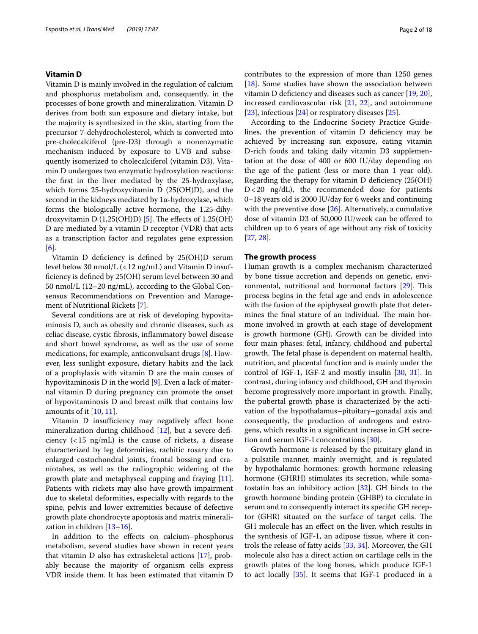# **Vitamin D**

Vitamin D is mainly involved in the regulation of calcium and phosphorus metabolism and, consequently, in the processes of bone growth and mineralization. Vitamin D derives from both sun exposure and dietary intake, but the majority is synthesized in the skin, starting from the precursor 7-dehydrocholesterol, which is converted into pre-cholecalciferol (pre-D3) through a nonenzymatic mechanism induced by exposure to UVB and subsequently isomerized to cholecalciferol (vitamin D3). Vitamin D undergoes two enzymatic hydroxylation reactions: the frst in the liver mediated by the 25-hydroxylase, which forms 25-hydroxyvitamin D (25(OH)D), and the second in the kidneys mediated by  $1\alpha$ -hydroxylase, which forms the biologically active hormone, the 1,25-dihydroxyvitamin D  $(1,25(OH)D)$  [[5\]](#page-14-4). The effects of 1,25(OH) D are mediated by a vitamin D receptor (VDR) that acts as a transcription factor and regulates gene expression [[6\]](#page-14-5).

Vitamin D defciency is defned by 25(OH)D serum level below 30 nmol/L (<12 ng/mL) and Vitamin D insuffciency is defned by 25(OH) serum level between 30 and 50 nmol/L (12–20 ng/mL), according to the Global Consensus Recommendations on Prevention and Management of Nutritional Rickets [\[7](#page-14-6)].

Several conditions are at risk of developing hypovitaminosis D, such as obesity and chronic diseases, such as celiac disease, cystic fbrosis, infammatory bowel disease and short bowel syndrome, as well as the use of some medications, for example, anticonvulsant drugs [[8\]](#page-14-7). However, less sunlight exposure, dietary habits and the lack of a prophylaxis with vitamin D are the main causes of hypovitaminosis D in the world [[9\]](#page-14-8). Even a lack of maternal vitamin D during pregnancy can promote the onset of hypovitaminosis D and breast milk that contains low amounts of it [\[10](#page-14-9), [11\]](#page-14-10).

Vitamin D insufficiency may negatively affect bone mineralization during childhood [[12\]](#page-14-11), but a severe deficiency  $\left($  < 15 ng/mL) is the cause of rickets, a disease characterized by leg deformities, rachitic rosary due to enlarged costochondral joints, frontal bossing and craniotabes, as well as the radiographic widening of the growth plate and metaphyseal cupping and fraying [\[11](#page-14-10)]. Patients with rickets may also have growth impairment due to skeletal deformities, especially with regards to the spine, pelvis and lower extremities because of defective growth plate chondrocyte apoptosis and matrix mineralization in children [\[13–](#page-14-12)[16\]](#page-14-13).

In addition to the efects on calcium–phosphorus metabolism, several studies have shown in recent years that vitamin D also has extraskeletal actions [[17\]](#page-14-14), probably because the majority of organism cells express VDR inside them. It has been estimated that vitamin D

contributes to the expression of more than 1250 genes [[18\]](#page-14-15). Some studies have shown the association between vitamin D defciency and diseases such as cancer [[19,](#page-14-16) [20](#page-14-17)], increased cardiovascular risk [[21,](#page-15-0) [22](#page-15-1)], and autoimmune [ $23$ ], infectious [ $24$ ] or respiratory diseases [ $25$ ].

According to the Endocrine Society Practice Guidelines, the prevention of vitamin D deficiency may be achieved by increasing sun exposure, eating vitamin D-rich foods and taking daily vitamin D3 supplementation at the dose of 400 or 600 IU/day depending on the age of the patient (less or more than 1 year old). Regarding the therapy for vitamin D defciency (25(OH) D<20 ng/dL), the recommended dose for patients 0–18 years old is 2000 IU/day for 6 weeks and continuing with the preventive dose [\[26](#page-15-5)]. Alternatively, a cumulative dose of vitamin D3 of 50,000 IU/week can be ofered to children up to 6 years of age without any risk of toxicity [[27,](#page-15-6) [28](#page-15-7)].

### **The growth process**

Human growth is a complex mechanism characterized by bone tissue accretion and depends on genetic, environmental, nutritional and hormonal factors  $[29]$  $[29]$  $[29]$ . This process begins in the fetal age and ends in adolescence with the fusion of the epiphyseal growth plate that determines the final stature of an individual. The main hormone involved in growth at each stage of development is growth hormone (GH). Growth can be divided into four main phases: fetal, infancy, childhood and pubertal growth. The fetal phase is dependent on maternal health, nutrition, and placental function and is mainly under the control of IGF-1, IGF-2 and mostly insulin [[30](#page-15-9), [31](#page-15-10)]. In contrast, during infancy and childhood, GH and thyroxin become progressively more important in growth. Finally, the pubertal growth phase is characterized by the activation of the hypothalamus–pituitary–gonadal axis and consequently, the production of androgens and estrogens, which results in a signifcant increase in GH secretion and serum IGF-I concentrations [\[30](#page-15-9)].

Growth hormone is released by the pituitary gland in a pulsatile manner, mainly overnight, and is regulated by hypothalamic hormones: growth hormone releasing hormone (GHRH) stimulates its secretion, while somatostatin has an inhibitory action [[32\]](#page-15-11). GH binds to the growth hormone binding protein (GHBP) to circulate in serum and to consequently interact its specifc GH receptor (GHR) situated on the surface of target cells. The GH molecule has an efect on the liver, which results in the synthesis of IGF-1, an adipose tissue, where it controls the release of fatty acids [[33,](#page-15-12) [34](#page-15-13)]. Moreover, the GH molecule also has a direct action on cartilage cells in the growth plates of the long bones, which produce IGF-1 to act locally [\[35](#page-15-14)]. It seems that IGF-1 produced in a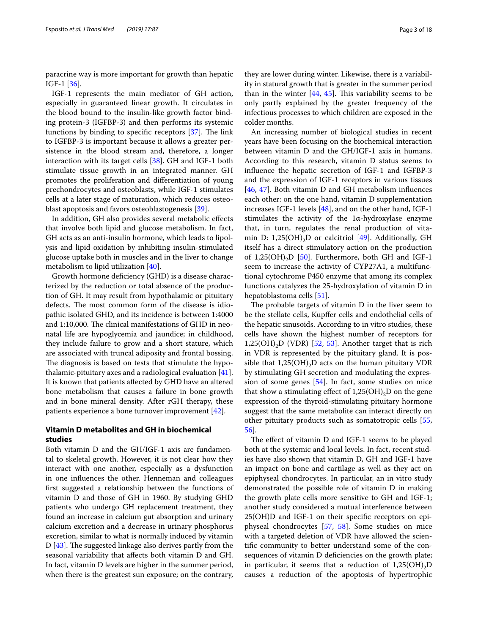paracrine way is more important for growth than hepatic IGF-1 [[36](#page-15-15)].

IGF-1 represents the main mediator of GH action, especially in guaranteed linear growth. It circulates in the blood bound to the insulin-like growth factor binding protein-3 (IGFBP-3) and then performs its systemic functions by binding to specific receptors  $[37]$  $[37]$ . The link to IGFBP-3 is important because it allows a greater persistence in the blood stream and, therefore, a longer interaction with its target cells [[38](#page-15-17)]. GH and IGF-1 both stimulate tissue growth in an integrated manner. GH promotes the proliferation and diferentiation of young prechondrocytes and osteoblasts, while IGF-1 stimulates cells at a later stage of maturation, which reduces osteoblast apoptosis and favors osteoblastogenesis [\[39](#page-15-18)].

In addition, GH also provides several metabolic efects that involve both lipid and glucose metabolism. In fact, GH acts as an anti-insulin hormone, which leads to lipolysis and lipid oxidation by inhibiting insulin-stimulated glucose uptake both in muscles and in the liver to change metabolism to lipid utilization [[40\]](#page-15-19).

Growth hormone defciency (GHD) is a disease characterized by the reduction or total absence of the production of GH. It may result from hypothalamic or pituitary defects. The most common form of the disease is idiopathic isolated GHD, and its incidence is between 1:4000 and 1:10,000. The clinical manifestations of GHD in neonatal life are hypoglycemia and jaundice; in childhood, they include failure to grow and a short stature, which are associated with truncal adiposity and frontal bossing. The diagnosis is based on tests that stimulate the hypothalamic-pituitary axes and a radiological evaluation [\[41](#page-15-20)]. It is known that patients afected by GHD have an altered bone metabolism that causes a failure in bone growth and in bone mineral density. After rGH therapy, these patients experience a bone turnover improvement [\[42\]](#page-15-21).

# **Vitamin D metabolites and GH in biochemical studies**

Both vitamin D and the GH/IGF-1 axis are fundamental to skeletal growth. However, it is not clear how they interact with one another, especially as a dysfunction in one infuences the other. Henneman and colleagues frst suggested a relationship between the functions of vitamin D and those of GH in 1960. By studying GHD patients who undergo GH replacement treatment, they found an increase in calcium gut absorption and urinary calcium excretion and a decrease in urinary phosphorus excretion, similar to what is normally induced by vitamin D  $[43]$  $[43]$ . The suggested linkage also derives partly from the seasonal variability that afects both vitamin D and GH. In fact, vitamin D levels are higher in the summer period, when there is the greatest sun exposure; on the contrary, they are lower during winter. Likewise, there is a variability in statural growth that is greater in the summer period than in the winter  $[44, 45]$  $[44, 45]$  $[44, 45]$ . This variability seems to be only partly explained by the greater frequency of the infectious processes to which children are exposed in the colder months.

An increasing number of biological studies in recent years have been focusing on the biochemical interaction between vitamin D and the GH/IGF-1 axis in humans. According to this research, vitamin D status seems to infuence the hepatic secretion of IGF-1 and IGFBP-3 and the expression of IGF-1 receptors in various tissues [[46,](#page-15-25) [47\]](#page-15-26). Both vitamin D and GH metabolism infuences each other: on the one hand, vitamin D supplementation increases IGF-1 levels [\[48\]](#page-15-27), and on the other hand, IGF-1 stimulates the activity of the 1α-hydroxylase enzyme that, in turn, regulates the renal production of vitamin D: 1,25(OH)<sub>2</sub>D or calcitriol  $[49]$ . Additionally, GH itself has a direct stimulatory action on the production of 1,25(OH)<sub>2</sub>D [[50\]](#page-15-29). Furthermore, both GH and IGF-1 seem to increase the activity of CYP27A1, a multifunctional cytochrome P450 enzyme that among its complex functions catalyzes the 25-hydroxylation of vitamin D in hepatoblastoma cells [\[51](#page-15-30)].

The probable targets of vitamin  $D$  in the liver seem to be the stellate cells, Kupfer cells and endothelial cells of the hepatic sinusoids. According to in vitro studies, these cells have shown the highest number of receptors for  $1,25(OH), D$  (VDR) [[52](#page-15-31), [53](#page-15-32)]. Another target that is rich in VDR is represented by the pituitary gland. It is possible that  $1,25(OH)_{2}D$  acts on the human pituitary VDR by stimulating GH secretion and modulating the expression of some genes [\[54](#page-15-33)]. In fact, some studies on mice that show a stimulating effect of  $1,25(OH)_{2}D$  on the gene expression of the thyroid-stimulating pituitary hormone suggest that the same metabolite can interact directly on other pituitary products such as somatotropic cells [[55](#page-15-34), [56\]](#page-15-35).

The effect of vitamin D and IGF-1 seems to be played both at the systemic and local levels. In fact, recent studies have also shown that vitamin D, GH and IGF-1 have an impact on bone and cartilage as well as they act on epiphyseal chondrocytes. In particular, an in vitro study demonstrated the possible role of vitamin D in making the growth plate cells more sensitive to GH and IGF-1; another study considered a mutual interference between 25(OH)D and IGF-1 on their specifc receptors on epiphyseal chondrocytes [\[57,](#page-15-36) [58](#page-15-37)]. Some studies on mice with a targeted deletion of VDR have allowed the scientifc community to better understand some of the consequences of vitamin D defciencies on the growth plate; in particular, it seems that a reduction of  $1,25(OH)_{2}D$ causes a reduction of the apoptosis of hypertrophic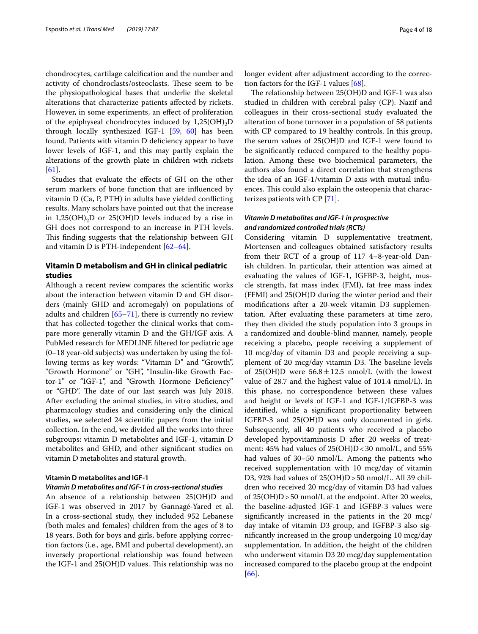chondrocytes, cartilage calcifcation and the number and activity of chondroclasts/osteoclasts. These seem to be the physiopathological bases that underlie the skeletal alterations that characterize patients afected by rickets. However, in some experiments, an efect of proliferation of the epiphyseal chondrocytes induced by  $1,25(OH)_{2}D$ through locally synthesized IGF-1 [\[59](#page-15-38), [60](#page-15-39)] has been found. Patients with vitamin D defciency appear to have lower levels of IGF-1, and this may partly explain the alterations of the growth plate in children with rickets [[61\]](#page-15-40).

Studies that evaluate the efects of GH on the other serum markers of bone function that are infuenced by vitamin D (Ca, P, PTH) in adults have yielded conficting results. Many scholars have pointed out that the increase in 1,25(OH)<sub>2</sub>D or 25(OH)D levels induced by a rise in GH does not correspond to an increase in PTH levels. This finding suggests that the relationship between GH and vitamin D is PTH-independent [[62](#page-16-0)[–64](#page-16-1)].

# **Vitamin D metabolism and GH in clinical pediatric studies**

Although a recent review compares the scientifc works about the interaction between vitamin D and GH disorders (mainly GHD and acromegaly) on populations of adults and children  $[65-71]$  $[65-71]$ , there is currently no review that has collected together the clinical works that compare more generally vitamin D and the GH/IGF axis. A PubMed research for MEDLINE fltered for pediatric age (0–18 year-old subjects) was undertaken by using the following terms as key words: "Vitamin D" and "Growth", "Growth Hormone" or "GH", "Insulin-like Growth Factor-1" or "IGF-1", and "Growth Hormone Defciency" or "GHD". The date of our last search was July 2018. After excluding the animal studies, in vitro studies, and pharmacology studies and considering only the clinical studies, we selected 24 scientifc papers from the initial collection. In the end, we divided all the works into three subgroups: vitamin D metabolites and IGF-1, vitamin D metabolites and GHD, and other signifcant studies on vitamin D metabolites and statural growth.

# **Vitamin D metabolites and IGF‑1**

# *Vitamin D metabolites and IGF‑1 in cross‑sectional studies*

An absence of a relationship between 25(OH)D and IGF-1 was observed in 2017 by Gannagé-Yared et al. In a cross-sectional study, they included 952 Lebanese (both males and females) children from the ages of 8 to 18 years. Both for boys and girls, before applying correction factors (i.e., age, BMI and pubertal development), an inversely proportional relationship was found between the IGF-1 and  $25(OH)D$  values. This relationship was no longer evident after adjustment according to the correction factors for the IGF-1 values  $[68]$  $[68]$  $[68]$ .

The relationship between  $25(OH)D$  and IGF-1 was also studied in children with cerebral palsy (CP). Nazif and colleagues in their cross-sectional study evaluated the alteration of bone turnover in a population of 58 patients with CP compared to 19 healthy controls. In this group, the serum values of 25(OH)D and IGF-1 were found to be signifcantly reduced compared to the healthy population. Among these two biochemical parameters, the authors also found a direct correlation that strengthens the idea of an IGF-1/vitamin D axis with mutual infuences. This could also explain the osteopenia that characterizes patients with CP [\[71](#page-16-3)].

# *Vitamin D metabolites and IGF‑1 in prospective and randomized controlled trials (RCTs)*

Considering vitamin D supplementative treatment, Mortensen and colleagues obtained satisfactory results from their RCT of a group of 117 4–8-year-old Danish children. In particular, their attention was aimed at evaluating the values of IGF-1, IGFBP-3, height, muscle strength, fat mass index (FMI), fat free mass index (FFMI) and 25(OH)D during the winter period and their modifcations after a 20-week vitamin D3 supplementation. After evaluating these parameters at time zero, they then divided the study population into 3 groups in a randomized and double-blind manner, namely, people receiving a placebo, people receiving a supplement of 10 mcg/day of vitamin D3 and people receiving a supplement of 20 mcg/day vitamin D3. The baseline levels of 25(OH)D were  $56.8 \pm 12.5$  nmol/L (with the lowest value of 28.7 and the highest value of 101.4 nmol/L). In this phase, no correspondence between these values and height or levels of IGF-1 and IGF-1/IGFBP-3 was identifed, while a signifcant proportionality between IGFBP-3 and 25(OH)D was only documented in girls. Subsequently, all 40 patients who received a placebo developed hypovitaminosis D after 20 weeks of treatment:  $45\%$  had values of  $25(OH)D < 30$  nmol/L, and  $55\%$ had values of 30–50 nmol/L. Among the patients who received supplementation with 10 mcg/day of vitamin D3, 92% had values of 25(OH)D > 50 nmol/L. All 39 children who received 20 mcg/day of vitamin D3 had values of 25(OH)D>50 nmol/L at the endpoint. After 20 weeks, the baseline-adjusted IGF-1 and IGFBP-3 values were signifcantly increased in the patients in the 20 mcg/ day intake of vitamin D3 group, and IGFBP-3 also signifcantly increased in the group undergoing 10 mcg/day supplementation. In addition, the height of the children who underwent vitamin D3 20 mcg/day supplementation increased compared to the placebo group at the endpoint [[66\]](#page-16-5).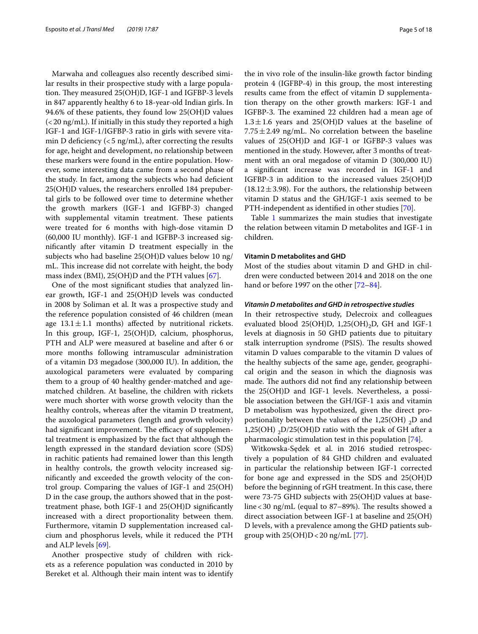Marwaha and colleagues also recently described similar results in their prospective study with a large population. They measured 25(OH)D, IGF-1 and IGFBP-3 levels in 847 apparently healthy 6 to 18-year-old Indian girls. In 94.6% of these patients, they found low 25(OH)D values (<20 ng/mL). If initially in this study they reported a high IGF-1 and IGF-1/IGFBP-3 ratio in girls with severe vitamin D deficiency  $(<5 \text{ ng/mL}$ ), after correcting the results for age, height and development, no relationship between these markers were found in the entire population. However, some interesting data came from a second phase of the study. In fact, among the subjects who had defcient 25(OH)D values, the researchers enrolled 184 prepubertal girls to be followed over time to determine whether the growth markers (IGF-1 and IGFBP-3) changed with supplemental vitamin treatment. These patients were treated for 6 months with high-dose vitamin D (60,000 IU monthly). IGF-1 and IGFBP-3 increased signifcantly after vitamin D treatment especially in the subjects who had baseline 25(OH)D values below 10 ng/ mL. This increase did not correlate with height, the body mass index (BMI), 25(OH)D and the PTH values [\[67](#page-16-6)].

One of the most signifcant studies that analyzed linear growth, IGF-1 and 25(OH)D levels was conducted in 2008 by Soliman et al. It was a prospective study and the reference population consisted of 46 children (mean age  $13.1 \pm 1.1$  months) affected by nutritional rickets. In this group, IGF-1, 25(OH)D, calcium, phosphorus, PTH and ALP were measured at baseline and after 6 or more months following intramuscular administration of a vitamin D3 megadose (300,000 IU). In addition, the auxological parameters were evaluated by comparing them to a group of 40 healthy gender-matched and agematched children. At baseline, the children with rickets were much shorter with worse growth velocity than the healthy controls, whereas after the vitamin D treatment, the auxological parameters (length and growth velocity) had significant improvement. The efficacy of supplemental treatment is emphasized by the fact that although the length expressed in the standard deviation score (SDS) in rachitic patients had remained lower than this length in healthy controls, the growth velocity increased signifcantly and exceeded the growth velocity of the control group. Comparing the values of IGF-1 and 25(OH) D in the case group, the authors showed that in the posttreatment phase, both IGF-1 and 25(OH)D signifcantly increased with a direct proportionality between them. Furthermore, vitamin D supplementation increased calcium and phosphorus levels, while it reduced the PTH and ALP levels [[69\]](#page-16-7).

Another prospective study of children with rickets as a reference population was conducted in 2010 by Bereket et al. Although their main intent was to identify the in vivo role of the insulin-like growth factor binding protein 4 (IGFBP-4) in this group, the most interesting results came from the efect of vitamin D supplementation therapy on the other growth markers: IGF-1 and IGFBP-3. The examined 22 children had a mean age of  $1.3 \pm 1.6$  years and 25(OH)D values at the baseline of  $7.75 \pm 2.49$  ng/mL. No correlation between the baseline values of 25(OH)D and IGF-1 or IGFBP-3 values was mentioned in the study. However, after 3 months of treatment with an oral megadose of vitamin D (300,000 IU) a signifcant increase was recorded in IGF-1 and IGFBP-3 in addition to the increased values 25(OH)D  $(18.12 \pm 3.98)$ . For the authors, the relationship between vitamin D status and the GH/IGF-1 axis seemed to be PTH-independent as identifed in other studies [[70](#page-16-8)].

Table [1](#page-5-0) summarizes the main studies that investigate the relation between vitamin D metabolites and IGF-1 in children.

# **Vitamin D metabolites and GHD**

Most of the studies about vitamin D and GHD in children were conducted between 2014 and 2018 on the one hand or before 1997 on the other [[72](#page-16-9)[–84](#page-16-10)].

# *Vitamin D metabolites and GHD in retrospective studies*

In their retrospective study, Delecroix and colleagues evaluated blood  $25(OH)D$ ,  $1,25(OH)D$ , GH and IGF-1 levels at diagnosis in 50 GHD patients due to pituitary stalk interruption syndrome (PSIS). The results showed vitamin D values comparable to the vitamin D values of the healthy subjects of the same age, gender, geographical origin and the season in which the diagnosis was made. The authors did not find any relationship between the 25(OH)D and IGF-1 levels. Nevertheless, a possible association between the GH/IGF-1 axis and vitamin D metabolism was hypothesized, given the direct proportionality between the values of the  $1,25(OH)$ , D and 1,25(OH)  $_2$ D/25(OH)D ratio with the peak of GH after a pharmacologic stimulation test in this population [[74](#page-16-11)].

Witkowska-Sędek et al. in 2016 studied retrospectively a population of 84 GHD children and evaluated in particular the relationship between IGF-1 corrected for bone age and expressed in the SDS and 25(OH)D before the beginning of rGH treatment. In this case, there were 73-75 GHD subjects with 25(OH)D values at baseline < 30 ng/mL (equal to 87–89%). The results showed a direct association between IGF-1 at baseline and 25(OH) D levels, with a prevalence among the GHD patients subgroup with  $25(OH)D < 20$  ng/mL [\[77](#page-16-12)].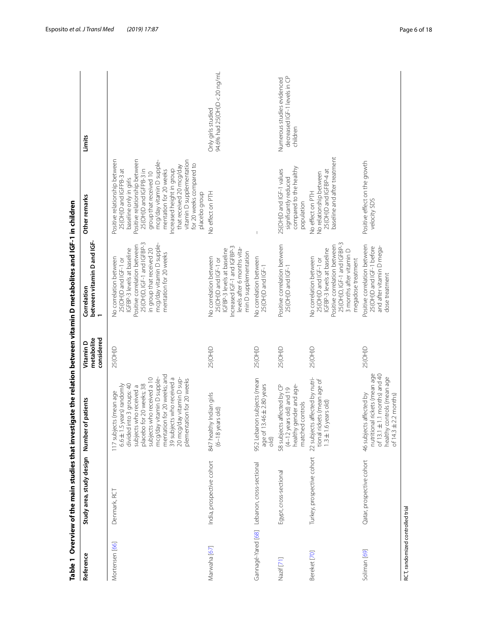| Reference                        | Study area, study design   | of patients<br>Number                                                                                                                                                                                                                                                                                                         | considered<br>metabolite<br>Vitamin D | between vitamin D and IGF-<br>1<br>Correlation                                                                                                                                                                                 | Other remarks                                                                                                                                                                                                                                                                                                                                                    | Limits                                                                 |
|----------------------------------|----------------------------|-------------------------------------------------------------------------------------------------------------------------------------------------------------------------------------------------------------------------------------------------------------------------------------------------------------------------------|---------------------------------------|--------------------------------------------------------------------------------------------------------------------------------------------------------------------------------------------------------------------------------|------------------------------------------------------------------------------------------------------------------------------------------------------------------------------------------------------------------------------------------------------------------------------------------------------------------------------------------------------------------|------------------------------------------------------------------------|
| Mortensen [66]                   | Denmark, RCT               | mentation for 20 weeks; and<br>mcg/day vitamin D supple-<br>subjects who received a 10<br>39 subjects who received a<br>20 mcg/day vitamin D sup-<br>plementation for 20 weeks<br>$6.6 \pm 1.5$ years) randomly<br>placebo for 20 weeks; 38<br>divided into 3 groups: 40<br>subjects who received a<br>117 subjects (mean age | 25(OH)D                               | 25(OH)D, IGF-1 and IGFBP-3<br>mcg/day vitamin D supple-<br>Positive correlation between<br>in group that received 20<br>IGFBP-3 levels at baseline<br>mentation for 20 weeks<br>No correlation between<br>25(OH)D and IGF-1 or | Positive relationship between<br>vitamin D supplementation<br>Positive relationship between<br>mcg/day vitamin D supple-<br>for 20 weeks compared to<br>that received 20 mcg/day<br>Increased height in group<br>25(OH)D and IGFPB-3 at<br>25(OH)D and IGFPB-3 in<br>mentation for 20 weeks<br>group that received 10<br>baseline only in girls<br>placebo group |                                                                        |
| Marwaha [67]                     | India, prospective cohort  | 847 healthy Indian girls<br>$(6-18$ years old)                                                                                                                                                                                                                                                                                | 25(OH)D                               | Increased IGF-1 and IGFBP-3<br>levels after 6 months vita-<br>IGFBP-3 levels at baseline<br>min D supplementation<br>No correlation between<br>25(OH)D and IGF-1 or                                                            | No effect on PTH                                                                                                                                                                                                                                                                                                                                                 | 94.6% had 25(OH)D < 20 ng/mL<br>Only girls studied                     |
| Gannagé-Yared [68]               | Lebanon, cross-sectional   | 952 Lebanon subjects (mean<br>$3.46 \pm 2.80$ years<br>age of<br>$\frac{1}{\sqrt{2}}$                                                                                                                                                                                                                                         | 25(OH)D                               | No correlation between<br>25(OH)D and IGF-1                                                                                                                                                                                    | $\overline{1}$                                                                                                                                                                                                                                                                                                                                                   |                                                                        |
| Nazif [71]                       | Egypt, cross-sectional     | 58 subjects affected by CP<br>gender and age-<br>$(4-12$ years old) and 19<br>matched controls<br>healthy                                                                                                                                                                                                                     | 25(OH)D                               | Positive correlation between<br>25(OH)D and IGF-1                                                                                                                                                                              | compared to the healthy<br>25(OH)D and IGF-1 values<br>significantly reduced<br>population                                                                                                                                                                                                                                                                       | decreased IGF-1 levels in CP<br>Numerous studies evidenced<br>children |
| Bereket [70]                     | Turkey, prospective cohort | 22 subjects affected by nutri-<br>tional rickets (mean age of<br>$1.3 \pm 1.6$ years old)                                                                                                                                                                                                                                     | 25(OH)D                               | 25(OH)D, IGF-1 and IGFBP-3<br>Positive correlation between<br>IGFBP-3 levels at baseline<br>3 months after vitamin D<br>No correlation between<br>25(OH)D and IGF-1 or<br>megadose treatment                                   | baseline and after treatment<br>25(OH)D and IGFBP-4 at<br>No relationship between<br>No effect on PTH                                                                                                                                                                                                                                                            |                                                                        |
| Soliman <sub>[69]</sub>          | Qatar, prospective cohort  | nutritional rickets (mean age<br>of $13.1 \pm 1.1$ months) and 40<br>healthy controls (mean age<br>46 subjects affected by<br>of $14.3 \pm 2.2$ months)                                                                                                                                                                       | 25(OH)D                               | Positive correlation between<br>25(OH)D and IGF-1 before<br>and after vitamin D mega-<br>dose treatment                                                                                                                        | Positive effect on the growth<br>velocity SDS                                                                                                                                                                                                                                                                                                                    |                                                                        |
| RCT. randomized controlled trial |                            |                                                                                                                                                                                                                                                                                                                               |                                       |                                                                                                                                                                                                                                |                                                                                                                                                                                                                                                                                                                                                                  |                                                                        |

<span id="page-5-0"></span>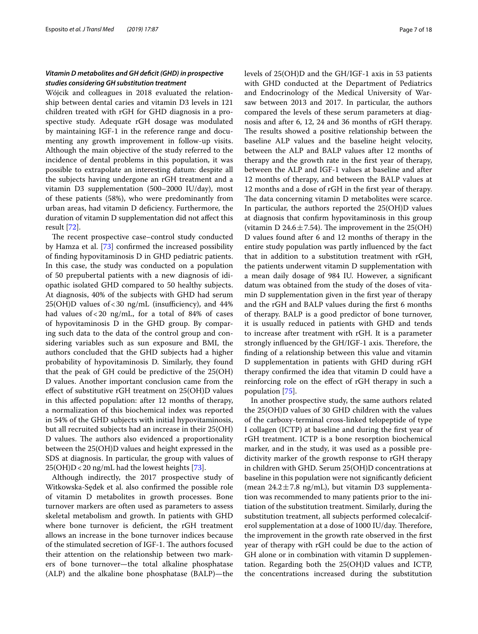# *Vitamin D metabolites and GH defcit (GHD) in prospective studies considering GH substitution treatment*

Wójcik and colleagues in 2018 evaluated the relationship between dental caries and vitamin D3 levels in 121 children treated with rGH for GHD diagnosis in a prospective study. Adequate rGH dosage was modulated by maintaining IGF-1 in the reference range and documenting any growth improvement in follow-up visits. Although the main objective of the study referred to the incidence of dental problems in this population, it was possible to extrapolate an interesting datum: despite all the subjects having undergone an rGH treatment and a vitamin D3 supplementation (500–2000 IU/day), most of these patients (58%), who were predominantly from urban areas, had vitamin D defciency. Furthermore, the duration of vitamin D supplementation did not afect this result [\[72](#page-16-9)].

The recent prospective case–control study conducted by Hamza et al. [[73](#page-16-13)] confrmed the increased possibility of fnding hypovitaminosis D in GHD pediatric patients. In this case, the study was conducted on a population of 50 prepubertal patients with a new diagnosis of idiopathic isolated GHD compared to 50 healthy subjects. At diagnosis, 40% of the subjects with GHD had serum  $25(OH)D$  values of < 30 ng/mL (insufficiency), and 44% had values of  $< 20$  ng/mL, for a total of 84% of cases of hypovitaminosis D in the GHD group. By comparing such data to the data of the control group and considering variables such as sun exposure and BMI, the authors concluded that the GHD subjects had a higher probability of hypovitaminosis D. Similarly, they found that the peak of GH could be predictive of the 25(OH) D values. Another important conclusion came from the efect of substitutive rGH treatment on 25(OH)D values in this afected population: after 12 months of therapy, a normalization of this biochemical index was reported in 54% of the GHD subjects with initial hypovitaminosis, but all recruited subjects had an increase in their 25(OH) D values. The authors also evidenced a proportionality between the 25(OH)D values and height expressed in the SDS at diagnosis. In particular, the group with values of 25(OH)D<20 ng/mL had the lowest heights [[73](#page-16-13)].

Although indirectly, the 2017 prospective study of Witkowska-Sędek et al. also confrmed the possible role of vitamin D metabolites in growth processes. Bone turnover markers are often used as parameters to assess skeletal metabolism and growth. In patients with GHD where bone turnover is deficient, the rGH treatment allows an increase in the bone turnover indices because of the stimulated secretion of IGF-1. The authors focused their attention on the relationship between two markers of bone turnover—the total alkaline phosphatase (ALP) and the alkaline bone phosphatase (BALP)—the levels of 25(OH)D and the GH/IGF-1 axis in 53 patients with GHD conducted at the Department of Pediatrics and Endocrinology of the Medical University of Warsaw between 2013 and 2017. In particular, the authors compared the levels of these serum parameters at diagnosis and after 6, 12, 24 and 36 months of rGH therapy. The results showed a positive relationship between the baseline ALP values and the baseline height velocity, between the ALP and BALP values after 12 months of therapy and the growth rate in the frst year of therapy, between the ALP and IGF-1 values at baseline and after 12 months of therapy, and between the BALP values at 12 months and a dose of rGH in the frst year of therapy. The data concerning vitamin D metabolites were scarce. In particular, the authors reported the 25(OH)D values at diagnosis that confrm hypovitaminosis in this group (vitamin D 24.6 $\pm$ 7.54). The improvement in the 25(OH) D values found after 6 and 12 months of therapy in the entire study population was partly infuenced by the fact that in addition to a substitution treatment with rGH, the patients underwent vitamin D supplementation with a mean daily dosage of 984 IU. However, a signifcant datum was obtained from the study of the doses of vitamin D supplementation given in the frst year of therapy and the rGH and BALP values during the frst 6 months of therapy. BALP is a good predictor of bone turnover, it is usually reduced in patients with GHD and tends to increase after treatment with rGH. It is a parameter strongly influenced by the GH/IGF-1 axis. Therefore, the fnding of a relationship between this value and vitamin D supplementation in patients with GHD during rGH therapy confrmed the idea that vitamin D could have a reinforcing role on the efect of rGH therapy in such a population [[75\]](#page-16-14).

In another prospective study, the same authors related the 25(OH)D values of 30 GHD children with the values of the carboxy-terminal cross-linked telopeptide of type I collagen (ICTP) at baseline and during the frst year of rGH treatment. ICTP is a bone resorption biochemical marker, and in the study, it was used as a possible predictivity marker of the growth response to rGH therapy in children with GHD. Serum 25(OH)D concentrations at baseline in this population were not signifcantly defcient (mean  $24.2 \pm 7.8$  ng/mL), but vitamin D3 supplementation was recommended to many patients prior to the initiation of the substitution treatment. Similarly, during the substitution treatment, all subjects performed colecalciferol supplementation at a dose of 1000 IU/day. Therefore, the improvement in the growth rate observed in the frst year of therapy with rGH could be due to the action of GH alone or in combination with vitamin D supplementation. Regarding both the 25(OH)D values and ICTP, the concentrations increased during the substitution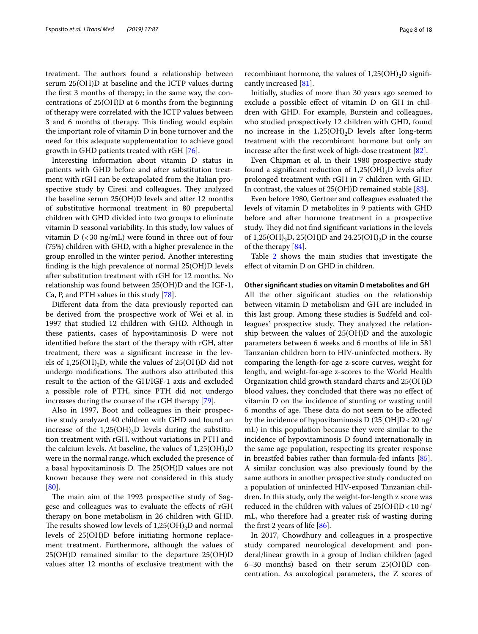treatment. The authors found a relationship between serum 25(OH)D at baseline and the ICTP values during the frst 3 months of therapy; in the same way, the concentrations of 25(OH)D at 6 months from the beginning of therapy were correlated with the ICTP values between 3 and 6 months of therapy. This finding would explain the important role of vitamin D in bone turnover and the need for this adequate supplementation to achieve good growth in GHD patients treated with rGH [[76\]](#page-16-15).

Interesting information about vitamin D status in patients with GHD before and after substitution treatment with rGH can be extrapolated from the Italian prospective study by Ciresi and colleagues. They analyzed the baseline serum 25(OH)D levels and after 12 months of substitutive hormonal treatment in 80 prepubertal children with GHD divided into two groups to eliminate vitamin D seasonal variability. In this study, low values of vitamin  $D$  (<30 ng/mL) were found in three out of four (75%) children with GHD, with a higher prevalence in the group enrolled in the winter period. Another interesting fnding is the high prevalence of normal 25(OH)D levels after substitution treatment with rGH for 12 months. No relationship was found between 25(OH)D and the IGF-1, Ca, P, and PTH values in this study [\[78](#page-16-16)].

Diferent data from the data previously reported can be derived from the prospective work of Wei et al. in 1997 that studied 12 children with GHD. Although in these patients, cases of hypovitaminosis D were not identifed before the start of the therapy with rGH, after treatment, there was a signifcant increase in the levels of  $1,25(OH)_{2}D$ , while the values of  $25(OH)D$  did not undergo modifications. The authors also attributed this result to the action of the GH/IGF-1 axis and excluded a possible role of PTH, since PTH did not undergo increases during the course of the rGH therapy [[79\]](#page-16-17).

Also in 1997, Boot and colleagues in their prospective study analyzed 40 children with GHD and found an increase of the  $1,25(OH)_{2}D$  levels during the substitution treatment with rGH, without variations in PTH and the calcium levels. At baseline, the values of  $1,25(OH),D$ were in the normal range, which excluded the presence of a basal hypovitaminosis D. The  $25(OH)D$  values are not known because they were not considered in this study [[80\]](#page-16-18).

The main aim of the 1993 prospective study of Saggese and colleagues was to evaluate the efects of rGH therapy on bone metabolism in 26 children with GHD. The results showed low levels of  $1,25(OH)_{2}D$  and normal levels of 25(OH)D before initiating hormone replacement treatment. Furthermore, although the values of 25(OH)D remained similar to the departure 25(OH)D values after 12 months of exclusive treatment with the recombinant hormone, the values of  $1,25(OH)_{2}D$  significantly increased [\[81](#page-16-19)].

Initially, studies of more than 30 years ago seemed to exclude a possible efect of vitamin D on GH in children with GHD. For example, Burstein and colleagues, who studied prospectively 12 children with GHD, found no increase in the  $1,25(OH)_{2}D$  levels after long-term treatment with the recombinant hormone but only an increase after the frst week of high-dose treatment [\[82\]](#page-16-20).

Even Chipman et al. in their 1980 prospective study found a significant reduction of  $1,25(OH)_{2}D$  levels after prolonged treatment with rGH in 7 children with GHD. In contrast, the values of 25(OH)D remained stable [[83](#page-16-21)].

Even before 1980, Gertner and colleagues evaluated the levels of vitamin D metabolites in 9 patients with GHD before and after hormone treatment in a prospective study. They did not find significant variations in the levels of 1,25(OH)<sub>2</sub>D, 25(OH)D and 24.25(OH)<sub>2</sub>D in the course of the therapy [[84\]](#page-16-10).

Table [2](#page-8-0) shows the main studies that investigate the efect of vitamin D on GHD in children.

# **Other signifcant studies on vitamin D metabolites and GH**

All the other signifcant studies on the relationship between vitamin D metabolism and GH are included in this last group. Among these studies is Sudfeld and colleagues' prospective study. They analyzed the relationship between the values of 25(OH)D and the auxologic parameters between 6 weeks and 6 months of life in 581 Tanzanian children born to HIV-uninfected mothers. By comparing the length-for-age z-score curves, weight for length, and weight-for-age z-scores to the World Health Organization child growth standard charts and 25(OH)D blood values, they concluded that there was no efect of vitamin D on the incidence of stunting or wasting until 6 months of age. These data do not seem to be affected by the incidence of hypovitaminosis D  $(25[OH]D<20$  ng/ mL) in this population because they were similar to the incidence of hypovitaminosis D found internationally in the same age population, respecting its greater response in breastfed babies rather than formula-fed infants [\[85](#page-16-22)]. A similar conclusion was also previously found by the same authors in another prospective study conducted on a population of uninfected HIV-exposed Tanzanian children. In this study, only the weight-for-length z score was reduced in the children with values of  $25(OH)D < 10$  ng/ mL, who therefore had a greater risk of wasting during the first 2 years of life  $[86]$  $[86]$  $[86]$ .

In 2017, Chowdhury and colleagues in a prospective study compared neurological development and ponderal/linear growth in a group of Indian children (aged 6–30 months) based on their serum 25(OH)D concentration. As auxological parameters, the Z scores of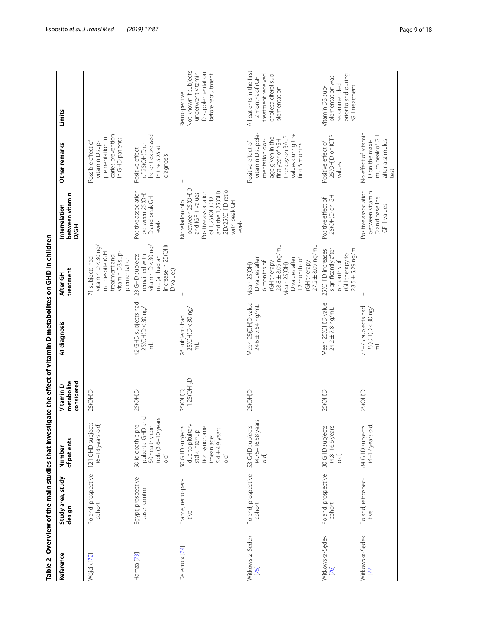|                              |                                    |                                                                                                                               |                                       | Table 2 Overview of the main studies that investigate the effect of vitamin D metabolites on GHD in children |                                                                                                                                                                           |                                                                                                                                                                    |                                                                                                                                                              |                                                                                                             |
|------------------------------|------------------------------------|-------------------------------------------------------------------------------------------------------------------------------|---------------------------------------|--------------------------------------------------------------------------------------------------------------|---------------------------------------------------------------------------------------------------------------------------------------------------------------------------|--------------------------------------------------------------------------------------------------------------------------------------------------------------------|--------------------------------------------------------------------------------------------------------------------------------------------------------------|-------------------------------------------------------------------------------------------------------------|
| Reference                    | Study area, study<br>design        | of patients<br>Number                                                                                                         | considered<br>metabolite<br>Vitamin D | At diagnosis                                                                                                 | treatment<br>After GH                                                                                                                                                     | between vitamin<br>Interrelation<br>D/GH                                                                                                                           | Other remarks                                                                                                                                                | Limits                                                                                                      |
| Wójcik [72]                  | Poland, prospective<br>cohort      | 121 GHD subjects<br>(6-18 years old)                                                                                          | 25(OH)D                               |                                                                                                              | vitamin $D < 30$ ng,<br>vitamin D3 sup-<br>mL despite rGH<br>treatment and<br>plementation<br>71 subjects had                                                             |                                                                                                                                                                    | caries prevention<br>plementation in<br>in GHD patients<br>Possible effect of<br>vitamin D sup-                                                              |                                                                                                             |
| Hamza <sup>[73]</sup>        | Egypt, prospective<br>case-control | 50 idiopathic pre-<br>pubertal GHD and<br>trols (3.6–10 years<br>old)<br>50 healthy con                                       | 25(OH)D                               | 42 GHD subjects had<br>25(OH)D<30 ng/<br>Ĕ                                                                   | vitamin $D < 30$ ng/<br>increase in 25(OH)<br>23 GHD subjects<br>remained with<br>mL (all had an<br>D values)                                                             | Positive association<br>between 25(OH)<br>D and peak GH<br>levels                                                                                                  | height expressed<br>of 25(OH)D on<br>in the SDS at<br>Positive effect<br>diagnosis                                                                           |                                                                                                             |
| Delecroix [74]               | France, retrospec-<br>tive         | due to pituitary<br>50 GHD subjects<br>tion syndrome<br>5.4 $\pm$ 4.9 years<br>stalk interrup-<br>(mean age:<br>$\frac{1}{2}$ | 1,25(OH) <sub>2</sub> D<br>25(OH)D    | 25(OH)D < 30ng<br>26 subjects had<br>E)                                                                      |                                                                                                                                                                           | between 25(OH)D<br>Positive association<br>2D/25(OH)D ratio<br>and the 1,25(OH)<br>and IGF-1 values<br>of 1,25(OH) 2D<br>No relationship<br>with peak GH<br>levels |                                                                                                                                                              | Not known if subjects<br>D supplementation<br>underwent vitamin<br>before recruitment<br>Retrospective      |
| Witkowska-Sedek<br>$[75]$    | Poland, prospective<br>cohort      | (4.75-16.58 years<br>53 GHD subjects<br>$\frac{1}{\sqrt{2}}$                                                                  | 25(OH)D                               | Mean 25(OH)D value<br>24.6 ± 7.54 ng/mL                                                                      | 28.8 ± 8.09 ng/mL<br>$27.2 \pm 8.09$ ng/ml<br>D values after<br>D values after<br>12 months of<br>rGH therapy<br>6 months of<br>rGH therapy<br>Mean 25(OH)<br>Mean 25(OH) |                                                                                                                                                                    | vitamin D supple-<br>values during the<br>therapy on BALP<br>age given in the<br>mentation dos-<br>first year of rGH<br>Positive effect of<br>first 6 months | All patients in the first<br>cholecalciferol sup-<br>treatment received<br>12 months of rGH<br>plementation |
| Witkowska-Sędek<br>[76]      | Poland, prospective<br>cohort      | 30 GHD subjects<br>(4.8-16.6 years<br>$\partial$                                                                              | 25(OH)D                               | Mean 25 (OH) D value<br>24.2 ± 7.8 ng/mL                                                                     | rGH therapy to<br>28.5 ± 5.29 ng/ml<br>significantly after<br>25(OH)D increases<br>6 months of                                                                            | 25(OH)D on GH<br>Positive effect of                                                                                                                                | 25(OH)D on ICTP<br>Positive effect of<br>values                                                                                                              | prior to and during<br>plementation was<br>recommended<br>rGH treatment<br>Vitamin D3 sup-                  |
| Witkowska-Sędek<br><b>ZZ</b> | Poland, retrospec-<br>tive         | $(4-17$ years old)<br>84 GHD subjects                                                                                         | 25(OH)D                               | 73-75 subjects had<br>25(OH)D<30 ng/<br>Ę                                                                    |                                                                                                                                                                           | Positive association<br>between vitamin<br>D and baseline<br>IGF-1 values                                                                                          | No effect of vitamin<br>mum peak of GH<br>after a stimulus<br>D on the maxi-<br>test                                                                         |                                                                                                             |

<span id="page-8-0"></span>Table 2 Overview of the main studies that investigate the effect of vitamin D metabolites on GHD in children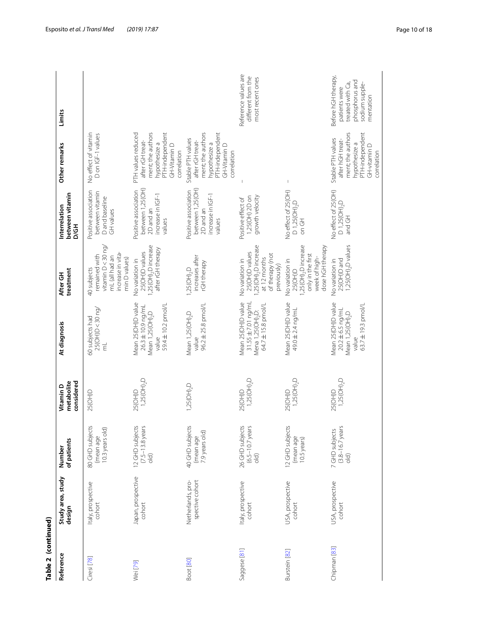| Table 2 (continued) |                                      |                                                        |                                       |                                                                                                       |                                                                                                                         |                                                                                      |                                                                                                                                |                                                                                                           |
|---------------------|--------------------------------------|--------------------------------------------------------|---------------------------------------|-------------------------------------------------------------------------------------------------------|-------------------------------------------------------------------------------------------------------------------------|--------------------------------------------------------------------------------------|--------------------------------------------------------------------------------------------------------------------------------|-----------------------------------------------------------------------------------------------------------|
| Reference           | Study area, study<br>design          | of patients<br>Number                                  | considered<br>metabolite<br>Vitamin D | At diagnosis                                                                                          | treatment<br>After GH                                                                                                   | between vitamin<br>Interrelation<br>D/GH                                             | Other remarks                                                                                                                  | Limits                                                                                                    |
| Ciresi [78]         | Italy, prospective<br>cohort         | 80 GHD subjects<br>10.3 years old)<br>(mean age        | 25(OH)D                               | 25(OH)D < 30ng<br>60 subjects had<br>ť                                                                | vitamin $D < 30$ ng/<br>increase in vita-<br>remained with<br>mL (all had an<br>min D values)<br>40 subjects            | Positive association<br>between vitamin<br>D and baseline<br>GH values               | No effect of vitamin<br>D on IGF-1 values                                                                                      |                                                                                                           |
| Wei [79]            | Japan, prospective<br>cohort         | 12 GHD subjects<br>$(7.5-13.8)$ years<br>$\frac{1}{2}$ | $1,25$ ( $OH$ ), $D$<br>25(OH)D       | Mean 25(OH)D value<br>59.4 ± 10.2 pmol/L<br>26.3 ±10.9 ng/mL<br>Mean 1,25(OH) <sub>2</sub> D<br>value | ,25(OH) <sub>2</sub> D increase<br>after rGH therapy<br>25(OH)D values<br>No variation in                               | between 1,25(OH)<br>Positive association<br>increase in IGF-1<br>2D and an<br>values | ment; the authors<br>PTH-independent<br>PTH values reduced<br>after rGH treat-<br>hypothesize a<br>GH-Vitamin D<br>correlation |                                                                                                           |
| Boot [80]           | spective cohort<br>Netherlands, pro- | 40 GHD subjects<br>7.9 years old)<br>(mean age         | 1,25(OH),D                            | 96.2 ± 25.8 pmol/L<br>Mean 1,25 (OH), D<br>value                                                      | increases after<br>rGH therapy<br>1,25(OH) <sub>2</sub> D                                                               | between 1,25(OH)<br>Positive association<br>increase in IGF-1<br>2D and an<br>values | ment; the authors<br>PTH-independent<br>Stable PTH values<br>after rGH treat-<br>hypothesize a<br>GH-Vitamin D<br>correlation  |                                                                                                           |
| Saggese [81]        | Italy, prospective<br>cohort         | 26 GHD subjects<br>$(6.5-10.7)$ years<br>$\partial$    | $1,25$ (OH) <sub>2</sub> D<br>25(OH)D | Mean 25(OH)D value<br>$31.55 \pm 7.01$ ng/mL<br>64.7 ± 15.8 pmol/L<br>Mena 1,25(OH) <sub>2</sub> D:   | ,25(OH) <sub>2</sub> D increase<br>25(OH)D values<br>of therapy (not<br>at 12 months<br>No variation in<br>previously)  | growth velocity<br>1,25(OH) 2D on<br>Positive effect of                              |                                                                                                                                | Reference values are<br>different from the<br>most recent ones                                            |
| Burstein [82]       | USA, prospective<br>cohort           | 12 GHD subjects<br>(mean age<br>10.5 years)            | $1,25$ ( $OH$ ), $D$<br>25(OH)D       | Mean 25(OH)D value<br>49.0 ± 2.4 ng/mL                                                                | ,25(OH) <sub>2</sub> D increase<br>dose hGH therapy<br>only in the first<br>week of high-<br>No variation in<br>25(OH)D | No effect of 25(OH)<br>D 1,25(OH),D<br>on GH                                         |                                                                                                                                |                                                                                                           |
| Chipman [83]        | USA, prospective<br>cohort           | $(3.8 - 16.7 \text{ years})$<br>7 GHD subjects         | 1,25(OH),D<br>25(OH)D                 | Mean 25(OH)D value<br>63.7 ± 19.3 pmol/L<br>$20.2 \pm 6.5$ ng/mL<br>Mean 1,25(OH), D<br>value         | 1,25(OH) <sub>2</sub> D values<br>25(OH)D and<br>No variation in                                                        | No effect of 25(OH)<br>$D$ 1,25( $OH$ ), $D$<br>and GH                               | ment; the authors<br>PTH-independent<br>Stable PTH values<br>after hGH treat-<br>hypothesize a<br>GH-vitamin D<br>correlation  | Before hGH therapy,<br>phosphorus and<br>treated with Ca,<br>sodium supple-<br>patients were<br>mentation |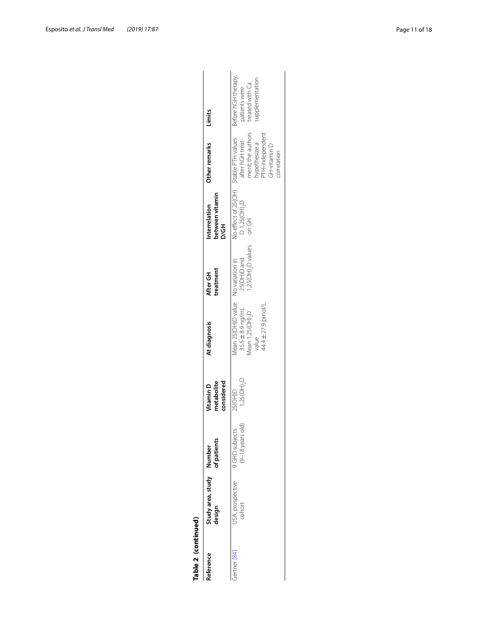| Table 2 (continued) |                                    |                                      |                                       |                                                                                                                                   |                                               |                                                                         |                                                                                                            |                                                                           |
|---------------------|------------------------------------|--------------------------------------|---------------------------------------|-----------------------------------------------------------------------------------------------------------------------------------|-----------------------------------------------|-------------------------------------------------------------------------|------------------------------------------------------------------------------------------------------------|---------------------------------------------------------------------------|
| Reference           | Study area, study Number<br>design |                                      | considered<br>metabolite<br>Vitamin D | At diagnosis                                                                                                                      | treatment<br>After GH                         | between vitamin<br>Interrelation<br>D/GH                                | Other remarks                                                                                              | Limits                                                                    |
| bertner [84]        | USA, prospective<br>cohort         | $(9-18$ years old)<br>9 GHD subjects | $1,25(OH)_{2}D$<br>25(OH)D            | Mean 25 (OH) D value No variation in<br>44.4 ± 27.9 pmol/L<br>$35.5 \pm 8.9$ ng/mL<br>$Mean$ 1,25( $OH$ ) <sub>2</sub> D<br>value | 1,25(OH) <sub>2</sub> D values<br>25(OH)D and | No effect of 25(OH) Stable PTH values<br>$D$ 1,25( $OH$ ), $D$<br>on GH | ment; the authors<br>TH-independent<br>after hGH treat-<br>nypothesize a<br><b>O</b> niment<br>correlation | Before hGH therapy,<br>upplementation<br>treated with Ca<br>patients were |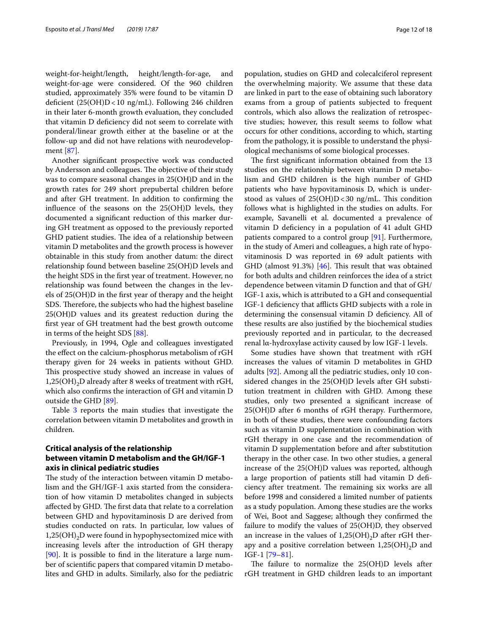weight-for-height/length, height/length-for-age, and weight-for-age were considered. Of the 960 children studied, approximately 35% were found to be vitamin D deficient  $(25(OH)D<10$  ng/mL). Following 246 children in their later 6-month growth evaluation, they concluded that vitamin D defciency did not seem to correlate with ponderal/linear growth either at the baseline or at the follow-up and did not have relations with neurodevelopment [\[87](#page-16-24)].

Another signifcant prospective work was conducted by Andersson and colleagues. The objective of their study was to compare seasonal changes in 25(OH)D and in the growth rates for 249 short prepubertal children before and after GH treatment. In addition to confrming the infuence of the seasons on the 25(OH)D levels, they documented a signifcant reduction of this marker during GH treatment as opposed to the previously reported GHD patient studies. The idea of a relationship between vitamin D metabolites and the growth process is however obtainable in this study from another datum: the direct relationship found between baseline 25(OH)D levels and the height SDS in the frst year of treatment. However, no relationship was found between the changes in the levels of 25(OH)D in the frst year of therapy and the height SDS. Therefore, the subjects who had the highest baseline 25(OH)D values and its greatest reduction during the frst year of GH treatment had the best growth outcome in terms of the height SDS [\[88](#page-16-25)].

Previously, in 1994, Ogle and colleagues investigated the efect on the calcium-phosphorus metabolism of rGH therapy given for 24 weeks in patients without GHD. This prospective study showed an increase in values of  $1,25(OH)_{2}D$  already after 8 weeks of treatment with rGH, which also confrms the interaction of GH and vitamin D outside the GHD [[89\]](#page-16-26).

Table [3](#page-12-0) reports the main studies that investigate the correlation between vitamin D metabolites and growth in children.

# **Critical analysis of the relationship between vitamin D metabolism and the GH/IGF-1 axis in clinical pediatric studies**

The study of the interaction between vitamin D metabolism and the GH/IGF-1 axis started from the consideration of how vitamin D metabolites changed in subjects affected by GHD. The first data that relate to a correlation between GHD and hypovitaminosis D are derived from studies conducted on rats. In particular, low values of  $1,25(OH)_{2}D$  were found in hypophysectomized mice with increasing levels after the introduction of GH therapy [[90\]](#page-16-27). It is possible to fnd in the literature a large number of scientifc papers that compared vitamin D metabolites and GHD in adults. Similarly, also for the pediatric population, studies on GHD and colecalciferol represent the overwhelming majority. We assume that these data are linked in part to the ease of obtaining such laboratory exams from a group of patients subjected to frequent controls, which also allows the realization of retrospective studies; however, this result seems to follow what occurs for other conditions, according to which, starting from the pathology, it is possible to understand the physiological mechanisms of some biological processes.

The first significant information obtained from the 13 studies on the relationship between vitamin D metabolism and GHD children is the high number of GHD patients who have hypovitaminosis D, which is understood as values of  $25(OH)D < 30$  ng/mL. This condition follows what is highlighted in the studies on adults. For example, Savanelli et al. documented a prevalence of vitamin D defciency in a population of 41 adult GHD patients compared to a control group [[91](#page-16-28)]. Furthermore, in the study of Ameri and colleagues, a high rate of hypovitaminosis D was reported in 69 adult patients with GHD (almost  $91.3\%$ ) [\[46\]](#page-15-25). This result that was obtained for both adults and children reinforces the idea of a strict dependence between vitamin D function and that of GH/ IGF-1 axis, which is attributed to a GH and consequential IGF-1 deficiency that afflicts GHD subjects with a role in determining the consensual vitamin D deficiency. All of these results are also justifed by the biochemical studies previously reported and in particular, to the decreased renal lα-hydroxylase activity caused by low IGF-1 levels.

Some studies have shown that treatment with rGH increases the values of vitamin D metabolites in GHD adults [\[92](#page-16-29)]. Among all the pediatric studies, only 10 considered changes in the 25(OH)D levels after GH substitution treatment in children with GHD. Among these studies, only two presented a signifcant increase of 25(OH)D after 6 months of rGH therapy. Furthermore, in both of these studies, there were confounding factors such as vitamin D supplementation in combination with rGH therapy in one case and the recommendation of vitamin D supplementation before and after substitution therapy in the other case. In two other studies, a general increase of the 25(OH)D values was reported, although a large proportion of patients still had vitamin D defciency after treatment. The remaining six works are all before 1998 and considered a limited number of patients as a study population. Among these studies are the works of Wei, Boot and Saggese; although they confrmed the failure to modify the values of 25(OH)D, they observed an increase in the values of  $1,25(OH)_{2}D$  after rGH therapy and a positive correlation between  $1,25(OH)_{2}D$  and IGF-1 [[79](#page-16-17)[–81](#page-16-19)].

The failure to normalize the  $25(OH)D$  levels after rGH treatment in GHD children leads to an important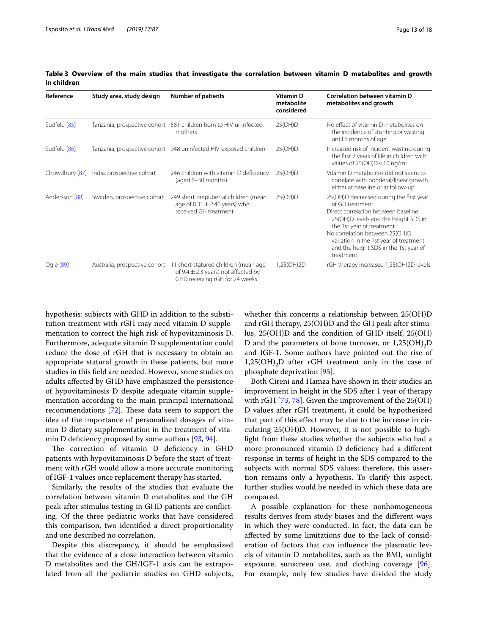| Reference      | Study area, study design                 | <b>Number of patients</b>                                                                                                                       | <b>Vitamin D</b><br>metabolite<br>considered | Correlation between vitamin D<br>metabolites and growth                                                                                                                                                                                                                                                  |
|----------------|------------------------------------------|-------------------------------------------------------------------------------------------------------------------------------------------------|----------------------------------------------|----------------------------------------------------------------------------------------------------------------------------------------------------------------------------------------------------------------------------------------------------------------------------------------------------------|
| Sudfeld [85]   | Tanzania, prospective cohort             | 581 children born to HIV-uninfected<br>mothers                                                                                                  | 25(OH)D                                      | No effect of vitamin D metabolites on<br>the incidence of stunting or wasting<br>until 6 months of age                                                                                                                                                                                                   |
| Sudfeld [86]   |                                          | Tanzania, prospective cohort 948 uninfected HIV-exposed children                                                                                | 25(OH)D                                      | Increased risk of incident wasting during<br>the first 2 years of life in children with<br>values of $25(OH)D < 10$ ng/mL                                                                                                                                                                                |
|                | Chowdhury [87] India, prospective cohort | 246 children with vitamin D deficiency<br>(aged 6-30 months)                                                                                    | 25(OH)D                                      | Vitamin D metabolites did not seem to<br>correlate with ponderal/linear growth<br>either at baseline or at follow-up                                                                                                                                                                                     |
| Andersson [88] | Sweden, prospective cohort               | 249 short prepubertal children (mean<br>age of $8.31 \pm 2.46$ years) who<br>received GH treatment                                              | 25(OH)D                                      | 25(OH)D decreased during the first year<br>of GH treatment<br>Direct correlation between baseline<br>25(OH)D levels and the height SDS in<br>the 1st year of treatment<br>No correlation between 25(OH)D<br>variation in the 1st year of treatment<br>and the height SDS in the 1st year of<br>treatment |
| Ogle [89]      |                                          | Australia, prospective cohort 11 short-statured children (mean age<br>of 9.4 $\pm$ 2.3 years) not affected by<br>GHD receiving rGH for 24 weeks | 1,25(OH)2D                                   | rGH therapy increased 1,25(OH)2D levels                                                                                                                                                                                                                                                                  |

<span id="page-12-0"></span>**Table 3 Overview of the main studies that investigate the correlation between vitamin D metabolites and growth in children**

hypothesis: subjects with GHD in addition to the substitution treatment with rGH may need vitamin D supplementation to correct the high risk of hypovitaminosis D. Furthermore, adequate vitamin D supplementation could reduce the dose of rGH that is necessary to obtain an appropriate statural growth in these patients, but more studies in this feld are needed. However, some studies on adults afected by GHD have emphasized the persistence of hypovitaminosis D despite adequate vitamin supplementation according to the main principal international recommendations  $[72]$  $[72]$ . These data seem to support the idea of the importance of personalized dosages of vitamin D dietary supplementation in the treatment of vita-min D deficiency proposed by some authors [[93](#page-16-30), [94\]](#page-16-31).

The correction of vitamin D deficiency in GHD patients with hypovitaminosis D before the start of treatment with rGH would allow a more accurate monitoring of IGF-1 values once replacement therapy has started.

Similarly, the results of the studies that evaluate the correlation between vitamin D metabolites and the GH peak after stimulus testing in GHD patients are conficting. Of the three pediatric works that have considered this comparison, two identifed a direct proportionality and one described no correlation.

Despite this discrepancy, it should be emphasized that the evidence of a close interaction between vitamin D metabolites and the GH/IGF-1 axis can be extrapolated from all the pediatric studies on GHD subjects, whether this concerns a relationship between 25(OH)D and rGH therapy, 25(OH)D and the GH peak after stimulus, 25(OH)D and the condition of GHD itself, 25(OH) D and the parameters of bone turnover, or  $1,25(OH)_{2}D$ and IGF-1. Some authors have pointed out the rise of  $1,25(OH)_{2}D$  after rGH treatment only in the case of phosphate deprivation [[95\]](#page-16-32).

Both Cireni and Hamza have shown in their studies an improvement in height in the SDS after 1 year of therapy with rGH [\[73](#page-16-13), [78\]](#page-16-16). Given the improvement of the 25(OH) D values after rGH treatment, it could be hypothesized that part of this efect may be due to the increase in circulating 25(OH)D. However, it is not possible to highlight from these studies whether the subjects who had a more pronounced vitamin D deficiency had a different response in terms of height in the SDS compared to the subjects with normal SDS values; therefore, this assertion remains only a hypothesis. To clarify this aspect, further studies would be needed in which these data are compared.

A possible explanation for these nonhomogeneous results derives from study biases and the diferent ways in which they were conducted. In fact, the data can be afected by some limitations due to the lack of consideration of factors that can infuence the plasmatic levels of vitamin D metabolites, such as the BMI, sunlight exposure, sunscreen use, and clothing coverage [\[96](#page-16-33)]. For example, only few studies have divided the study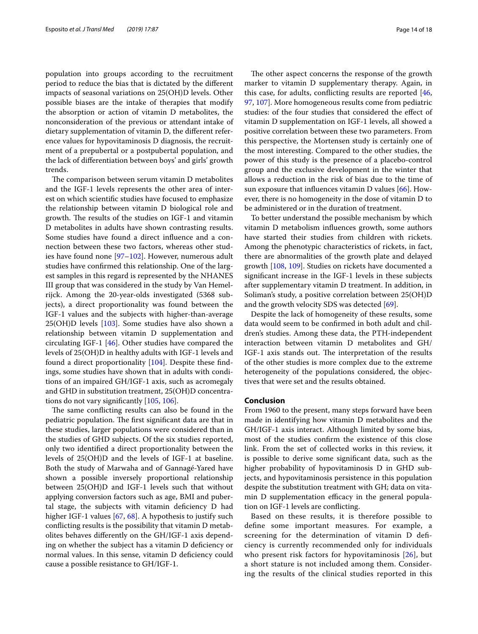population into groups according to the recruitment period to reduce the bias that is dictated by the diferent impacts of seasonal variations on 25(OH)D levels. Other possible biases are the intake of therapies that modify the absorption or action of vitamin D metabolites, the nonconsideration of the previous or attendant intake of dietary supplementation of vitamin D, the diferent reference values for hypovitaminosis D diagnosis, the recruitment of a prepubertal or a postpubertal population, and the lack of diferentiation between boys' and girls' growth trends.

The comparison between serum vitamin D metabolites and the IGF-1 levels represents the other area of interest on which scientifc studies have focused to emphasize the relationship between vitamin D biological role and growth. The results of the studies on IGF-1 and vitamin D metabolites in adults have shown contrasting results. Some studies have found a direct infuence and a connection between these two factors, whereas other studies have found none [\[97](#page-17-0)[–102\]](#page-17-1). However, numerous adult studies have confrmed this relationship. One of the largest samples in this regard is represented by the NHANES III group that was considered in the study by Van Hemelrijck. Among the 20-year-olds investigated (5368 subjects), a direct proportionality was found between the IGF-1 values and the subjects with higher-than-average 25(OH)D levels [\[103\]](#page-17-2). Some studies have also shown a relationship between vitamin D supplementation and circulating IGF-1 [\[46\]](#page-15-25). Other studies have compared the levels of 25(OH)D in healthy adults with IGF-1 levels and found a direct proportionality [\[104\]](#page-17-3). Despite these fndings, some studies have shown that in adults with conditions of an impaired GH/IGF-1 axis, such as acromegaly and GHD in substitution treatment, 25(OH)D concentrations do not vary signifcantly [[105,](#page-17-4) [106](#page-17-5)].

The same conflicting results can also be found in the pediatric population. The first significant data are that in these studies, larger populations were considered than in the studies of GHD subjects. Of the six studies reported, only two identifed a direct proportionality between the levels of 25(OH)D and the levels of IGF-1 at baseline. Both the study of Marwaha and of Gannagé-Yared have shown a possible inversely proportional relationship between 25(OH)D and IGF-1 levels such that without applying conversion factors such as age, BMI and pubertal stage, the subjects with vitamin defciency D had higher IGF-1 values [[67,](#page-16-6) [68](#page-16-4)]. A hypothesis to justify such conficting results is the possibility that vitamin D metabolites behaves diferently on the GH/IGF-1 axis depending on whether the subject has a vitamin D deficiency or normal values. In this sense, vitamin D deficiency could cause a possible resistance to GH/IGF-1.

The other aspect concerns the response of the growth marker to vitamin D supplementary therapy. Again, in this case, for adults, conficting results are reported [[46](#page-15-25), [97,](#page-17-0) [107\]](#page-17-6). More homogeneous results come from pediatric studies: of the four studies that considered the efect of vitamin D supplementation on IGF-1 levels, all showed a positive correlation between these two parameters. From this perspective, the Mortensen study is certainly one of the most interesting. Compared to the other studies, the power of this study is the presence of a placebo-control group and the exclusive development in the winter that allows a reduction in the risk of bias due to the time of sun exposure that influences vitamin D values  $[66]$  $[66]$ . However, there is no homogeneity in the dose of vitamin D to be administered or in the duration of treatment.

To better understand the possible mechanism by which vitamin D metabolism infuences growth, some authors have started their studies from children with rickets. Among the phenotypic characteristics of rickets, in fact, there are abnormalities of the growth plate and delayed growth [[108,](#page-17-7) [109](#page-17-8)]. Studies on rickets have documented a signifcant increase in the IGF-1 levels in these subjects after supplementary vitamin D treatment. In addition, in Soliman's study, a positive correlation between 25(OH)D and the growth velocity SDS was detected [\[69\]](#page-16-7).

Despite the lack of homogeneity of these results, some data would seem to be confrmed in both adult and children's studies. Among these data, the PTH-independent interaction between vitamin D metabolites and GH/ IGF-1 axis stands out. The interpretation of the results of the other studies is more complex due to the extreme heterogeneity of the populations considered, the objectives that were set and the results obtained.

# **Conclusion**

From 1960 to the present, many steps forward have been made in identifying how vitamin D metabolites and the GH/IGF-1 axis interact. Although limited by some bias, most of the studies confrm the existence of this close link. From the set of collected works in this review, it is possible to derive some signifcant data, such as the higher probability of hypovitaminosis D in GHD subjects, and hypovitaminosis persistence in this population despite the substitution treatment with GH; data on vitamin D supplementation efficacy in the general population on IGF-1 levels are conficting.

Based on these results, it is therefore possible to defne some important measures. For example, a screening for the determination of vitamin D defciency is currently recommended only for individuals who present risk factors for hypovitaminosis [\[26](#page-15-5)], but a short stature is not included among them. Considering the results of the clinical studies reported in this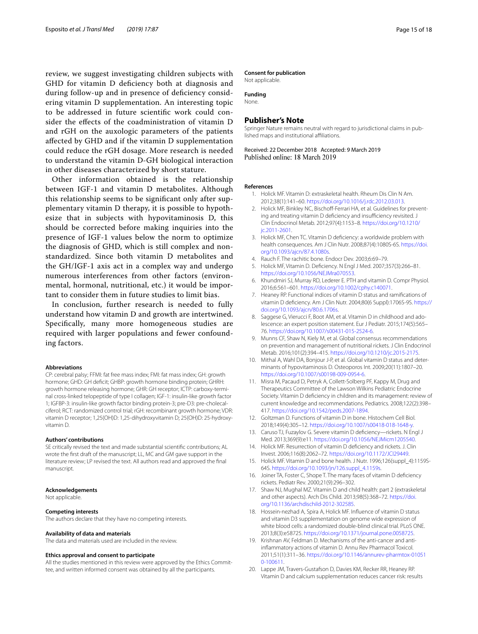review, we suggest investigating children subjects with GHD for vitamin D defciency both at diagnosis and during follow-up and in presence of defciency considering vitamin D supplementation. An interesting topic to be addressed in future scientifc work could consider the efects of the coadministration of vitamin D and rGH on the auxologic parameters of the patients afected by GHD and if the vitamin D supplementation could reduce the rGH dosage. More research is needed to understand the vitamin D-GH biological interaction in other diseases characterized by short stature.

Other information obtained is the relationship between IGF-1 and vitamin D metabolites. Although this relationship seems to be signifcant only after supplementary vitamin D therapy, it is possible to hypothesize that in subjects with hypovitaminosis D, this should be corrected before making inquiries into the presence of IGF-1 values below the norm to optimize the diagnosis of GHD, which is still complex and nonstandardized. Since both vitamin D metabolites and the GH/IGF-1 axis act in a complex way and undergo numerous interferences from other factors (environmental, hormonal, nutritional, etc.) it would be important to consider them in future studies to limit bias.

In conclusion, further research is needed to fully understand how vitamin D and growth are intertwined. Specifcally, many more homogeneous studies are required with larger populations and fewer confounding factors.

### **Abbreviations**

CP: cerebral palsy; FFMI: fat free mass index; FMI: fat mass index; GH: growth hormone; GHD: GH deficit; GHBP: growth hormone binding protein; GHRH: growth hormone releasing hormone; GHR: GH receptor; ICTP: carboxy-terminal cross-linked telopeptide of type I collagen; IGF-1: insulin-like growth factor 1; IGFBP-3: insulin-like growth factor binding protein-3; pre-D3: pre-cholecalciferol; RCT: randomized control trial; rGH: recombinant growth hormone; VDR: vitamin D receptor; 1,25(OH)D: 1,25-dihydroxyvitamin D; 25(OH)D: 25-hydroxyvitamin D.

#### **Authors' contributions**

SE critically revised the text and made substantial scientifc contributions; AL wrote the frst draft of the manuscript; LL, MC and GM gave support in the literature review; LP revised the text. All authors read and approved the fnal manuscript.

#### **Acknowledgements**

Not applicable.

#### **Competing interests**

The authors declare that they have no competing interests.

#### **Availability of data and materials**

The data and materials used are included in the review.

#### **Ethics approval and consent to participate**

All the studies mentioned in this review were approved by the Ethics Committee, and written informed consent was obtained by all the participants.

#### **Consent for publication**

Not applicable.

**Funding** None.

# **Publisher's Note**

Springer Nature remains neutral with regard to jurisdictional claims in published maps and institutional afliations.

Received: 22 December 2018 Accepted: 9 March 2019<br>Published online: 18 March 2019

### <span id="page-14-0"></span>**References**

- 1. Holick MF. Vitamin D: extraskeletal health. Rheum Dis Clin N Am. 2012;38(1):141–60.<https://doi.org/10.1016/j.rdc.2012.03.013>.
- <span id="page-14-1"></span>2. Holick MF, Binkley NC, Bischoff-Ferrari HA, et al. Guidelines for preventing and treating vitamin D deficiency and insufficiency revisited. J Clin Endocrinol Metab. 2012;97(4):1153–8. [https://doi.org/10.1210/](https://doi.org/10.1210/jc.2011-2601) [jc.2011-2601.](https://doi.org/10.1210/jc.2011-2601)
- <span id="page-14-2"></span>3. Holick MF, Chen TC. Vitamin D defciency: a worldwide problem with health consequences. Am J Clin Nutr. 2008;87(4):1080S-6S. [https://doi.](https://doi.org/10.1093/ajcn/87.4.1080s) [org/10.1093/ajcn/87.4.1080s.](https://doi.org/10.1093/ajcn/87.4.1080s)
- <span id="page-14-3"></span>4. Rauch F. The rachitic bone. Endocr Dev. 2003;6:69–79.
- <span id="page-14-4"></span>5. Holick MF, Vitamin D. Defciency. N Engl J Med. 2007;357(3):266–81. [https://doi.org/10.1056/NEJMra070553.](https://doi.org/10.1056/NEJMra070553)
- <span id="page-14-5"></span>6. Khundmiri SJ, Murray RD, Lederer E. PTH and vitamin D. Compr Physiol. 2016;6:561–601. [https://doi.org/10.1002/cphy.c140071.](https://doi.org/10.1002/cphy.c140071)
- <span id="page-14-6"></span>7. Heaney RP. Functional indices of vitamin D status and ramifcations of vitamin D defciency. Am J Clin Nutr. 2004;80(6 Suppl):1706S-9S. [https://](https://doi.org/10.1093/ajcn/80.6.1706s) [doi.org/10.1093/ajcn/80.6.1706s.](https://doi.org/10.1093/ajcn/80.6.1706s)
- <span id="page-14-7"></span>8. Saggese G, Vierucci F, Boot AM, et al. Vitamin D in childhood and adolescence: an expert position statement. Eur J Pediatr. 2015;174(5):565– 76.<https://doi.org/10.1007/s00431-015-2524-6>.
- <span id="page-14-8"></span>Munns CF, Shaw N, Kiely M, et al. Global consensus recommendations on prevention and management of nutritional rickets. J Clin Endocrinol Metab. 2016;101(2):394–415.<https://doi.org/10.1210/jc.2015-2175>.
- <span id="page-14-9"></span>10. Mithal A, Wahl DA, Bonjour J-P, et al. Global vitamin D status and determinants of hypovitaminosis D. Osteoporos Int. 2009;20(11):1807–20. <https://doi.org/10.1007/s00198-009-0954-6>.
- <span id="page-14-10"></span>11. Misra M, Pacaud D, Petryk A, Collett-Solberg PF, Kappy M, Drug and Therapeutics Committee of the Lawson Wilkins Pediatric Endocrine Society. Vitamin D defciency in children and its management: review of current knowledge and recommendations. Pediatrics. 2008;122(2):398– 417.<https://doi.org/10.1542/peds.2007-1894>.
- <span id="page-14-11"></span>12. Goltzman D. Functions of vitamin D in bone. Histochem Cell Biol. 2018;149(4):305–12.<https://doi.org/10.1007/s00418-018-1648-y>.
- <span id="page-14-12"></span>13. Caruso TJ, Fuzaylov G. Severe vitamin D defciency—rickets. N Engl J Med. 2013;369(9):e11.<https://doi.org/10.1056/NEJMicm1205540>.
- 14. Holick MF. Resurrection of vitamin D defciency and rickets. J. Clin Invest. 2006;116(8):2062–72.<https://doi.org/10.1172/JCI29449>.
- 15. Holick MF. Vitamin D and bone health. J Nutr. 1996;126(suppl\_4):1159S-64S. [https://doi.org/10.1093/jn/126.suppl\\_4.1159s](https://doi.org/10.1093/jn/126.suppl_4.1159s).
- <span id="page-14-13"></span>16. Joiner TA, Foster C, Shope T. The many faces of vitamin D defciency rickets. Pediatr Rev. 2000;21(9):296–302.
- <span id="page-14-14"></span>17. Shaw NJ, Mughal MZ. Vitamin D and child health: part 2 (extraskeletal and other aspects). Arch Dis Child. 2013;98(5):368–72. [https://doi.](https://doi.org/10.1136/archdischild-2012-302585) [org/10.1136/archdischild-2012-302585](https://doi.org/10.1136/archdischild-2012-302585).
- <span id="page-14-15"></span>18. Hossein-nezhad A, Spira A, Holick MF. Infuence of vitamin D status and vitamin D3 supplementation on genome wide expression of white blood cells: a randomized double-blind clinical trial. PLoS ONE. 2013;8(3):e58725. <https://doi.org/10.1371/journal.pone.0058725>.
- <span id="page-14-16"></span>19. Krishnan AV, Feldman D. Mechanisms of the anti-cancer and antiinfammatory actions of vitamin D. Annu Rev Pharmacol Toxicol. 2011;51(1):311–36. [https://doi.org/10.1146/annurev-pharmtox-01051](https://doi.org/10.1146/annurev-pharmtox-010510-100611) [0-100611](https://doi.org/10.1146/annurev-pharmtox-010510-100611).
- <span id="page-14-17"></span>20. Lappe JM, Travers-Gustafson D, Davies KM, Recker RR, Heaney RP. Vitamin D and calcium supplementation reduces cancer risk: results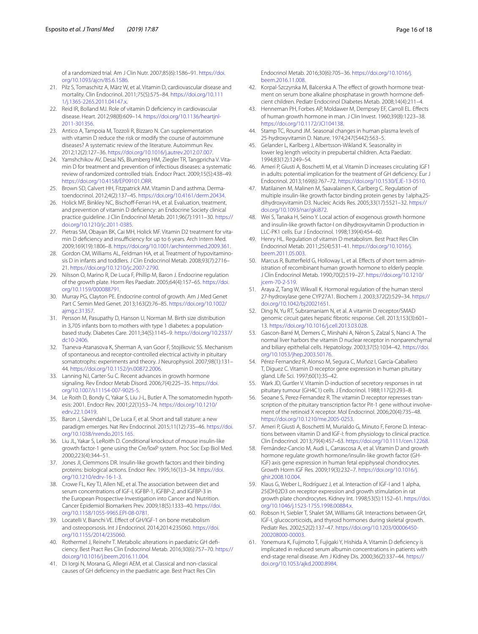of a randomized trial. Am J Clin Nutr. 2007;85(6):1586–91. [https://doi.](https://doi.org/10.1093/ajcn/85.6.1586) [org/10.1093/ajcn/85.6.1586](https://doi.org/10.1093/ajcn/85.6.1586).

- <span id="page-15-0"></span>21. Pilz S, Tomaschitz A, März W, et al. Vitamin D, cardiovascular disease and mortality. Clin Endocrinol. 2011;75(5):575–84. [https://doi.org/10.111](https://doi.org/10.1111/j.1365-2265.2011.04147.x) [1/j.1365-2265.2011.04147.x.](https://doi.org/10.1111/j.1365-2265.2011.04147.x)
- <span id="page-15-1"></span>22. Reid IR, Bolland MJ. Role of vitamin D deficiency in cardiovascular disease. Heart. 2012;98(8):609–14. [https://doi.org/10.1136/heartjnl-](https://doi.org/10.1136/heartjnl-2011-301356)[2011-301356](https://doi.org/10.1136/heartjnl-2011-301356).
- <span id="page-15-2"></span>23. Antico A, Tampoia M, Tozzoli R, Bizzaro N. Can supplementation with vitamin D reduce the risk or modify the course of autoimmune diseases? A systematic review of the literature. Autoimmun Rev. 2012;12(2):127–36. [https://doi.org/10.1016/j.autrev.2012.07.007.](https://doi.org/10.1016/j.autrev.2012.07.007)
- <span id="page-15-3"></span>24. Yamshchikov AV, Desai NS, Blumberg HM, Ziegler TR, Tangpricha V. Vitamin D for treatment and prevention of infectious diseases: a systematic review of randomized controlled trials. Endocr Pract. 2009;15(5):438–49. [https://doi.org/10.4158/EP09101.ORR.](https://doi.org/10.4158/EP09101.ORR)
- <span id="page-15-4"></span>25. Brown SD, Calvert HH, Fitzpatrick AM. Vitamin D and asthma. Dermatoendocrinol. 2012;4(2):137–45. [https://doi.org/10.4161/derm.20434.](https://doi.org/10.4161/derm.20434)
- <span id="page-15-5"></span>26. Holick MF, Binkley NC, Bischoff-Ferrari HA, et al. Evaluation, treatment, and prevention of vitamin D defciency: an Endocrine Society clinical practice guideline. J Clin Endocrinol Metab. 2011;96(7):1911–30. [https://](https://doi.org/10.1210/jc.2011-0385) [doi.org/10.1210/jc.2011-0385.](https://doi.org/10.1210/jc.2011-0385)
- <span id="page-15-6"></span>27. Pietras SM, Obayan BK, Cai MH, Holick MF. Vitamin D2 treatment for vitamin D deficiency and insufficiency for up to 6 years. Arch Intern Med. 2009;169(19):1806–8. <https://doi.org/10.1001/archinternmed.2009.361>.
- <span id="page-15-7"></span>Gordon CM, Williams AL, Feldman HA, et al. Treatment of hypovitaminosis D in infants and toddlers. J Clin Endocrinol Metab. 2008;93(7):2716– 21.<https://doi.org/10.1210/jc.2007-2790>.
- <span id="page-15-8"></span>Nilsson O, Marino R, De Luca F, Phillip M, Baron J. Endocrine regulation of the growth plate. Horm Res Paediatr. 2005;64(4):157–65. [https://doi.](https://doi.org/10.1159/000088791) [org/10.1159/000088791.](https://doi.org/10.1159/000088791)
- <span id="page-15-9"></span>30. Murray PG, Clayton PE. Endocrine control of growth. Am J Med Genet Part C Semin Med Genet. 2013;163(2):76–85. [https://doi.org/10.1002/](https://doi.org/10.1002/ajmg.c.31357) [ajmg.c.31357](https://doi.org/10.1002/ajmg.c.31357).
- <span id="page-15-10"></span>31. Persson M, Pasupathy D, Hanson U, Norman M. Birth size distribution in 3,705 infants born to mothers with type 1 diabetes: a populationbased study. Diabetes Care. 2011;34(5):1145–9. [https://doi.org/10.2337/](https://doi.org/10.2337/dc10-2406) [dc10-2406.](https://doi.org/10.2337/dc10-2406)
- <span id="page-15-11"></span>32. Tsaneva-Atanasova K, Sherman A, van Goor F, Stojilkovic SS. Mechanism of spontaneous and receptor-controlled electrical activity in pituitary somatotrophs: experiments and theory. J Neurophysiol. 2007;98(1):131– 44.<https://doi.org/10.1152/jn.00872.2006>.
- <span id="page-15-12"></span>33. Lanning NJ, Carter-Su C. Recent advances in growth hormone signaling. Rev Endocr Metab Disord. 2006;7(4):225–35. [https://doi.](https://doi.org/10.1007/s11154-007-9025-5) [org/10.1007/s11154-007-9025-5](https://doi.org/10.1007/s11154-007-9025-5).
- <span id="page-15-13"></span>34. Le Roith D, Bondy C, Yakar S, Liu J-L, Butler A. The somatomedin hypothesis: 2001. Endocr Rev. 2001;22(1):53–74. [https://doi.org/10.1210/](https://doi.org/10.1210/edrv.22.1.0419) [edrv.22.1.0419](https://doi.org/10.1210/edrv.22.1.0419).
- <span id="page-15-14"></span>35. Baron J, Sävendahl L, De Luca F, et al. Short and tall stature: a new paradigm emerges. Nat Rev Endocrinol. 2015;11(12):735–46. [https://doi.](https://doi.org/10.1038/nrendo.2015.165) [org/10.1038/nrendo.2015.165](https://doi.org/10.1038/nrendo.2015.165).
- <span id="page-15-15"></span>36. Liu JL, Yakar S, LeRoith D. Conditional knockout of mouse insulin-like growth factor-1 gene using the Cre/loxP system. Proc Soc Exp Biol Med. 2000;223(4):344–51.
- <span id="page-15-16"></span>37. Jones JI, Clemmons DR. Insulin-like growth factors and their binding proteins: biological actions. Endocr Rev. 1995;16(1):3–34. [https://doi.](https://doi.org/10.1210/edrv-16-1-3) [org/10.1210/edrv-16-1-3.](https://doi.org/10.1210/edrv-16-1-3)
- <span id="page-15-17"></span>38. Crowe FL, Key TJ, Allen NE, et al. The association between diet and serum concentrations of IGF-I, IGFBP-1, IGFBP-2, and IGFBP-3 in the European Prospective Investigation into Cancer and Nutrition. Cancer Epidemiol Biomarkers Prev. 2009;18(5):1333–40. [https://doi.](https://doi.org/10.1158/1055-9965.EPI-08-0781) [org/10.1158/1055-9965.EPI-08-0781](https://doi.org/10.1158/1055-9965.EPI-08-0781).
- <span id="page-15-18"></span>39. Locatelli V, Bianchi VE. Efect of GH/IGF-1 on bone metabolism and osteoporsosis. Int J Endocrinol. 2014;2014:235060. [https://doi.](https://doi.org/10.1155/2014/235060) [org/10.1155/2014/235060](https://doi.org/10.1155/2014/235060).
- <span id="page-15-19"></span>40. Rothermel J, Reinehr T. Metabolic alterations in paediatric GH defciency. Best Pract Res Clin Endocrinol Metab. 2016;30(6):757–70. [https://](https://doi.org/10.1016/j.beem.2016.11.004) [doi.org/10.1016/j.beem.2016.11.004](https://doi.org/10.1016/j.beem.2016.11.004).
- <span id="page-15-20"></span>41. Di Iorgi N, Morana G, Allegri AEM, et al. Classical and non-classical causes of GH defciency in the paediatric age. Best Pract Res Clin

Endocrinol Metab. 2016;30(6):705–36. [https://doi.org/10.1016/j.](https://doi.org/10.1016/j.beem.2016.11.008) [beem.2016.11.008.](https://doi.org/10.1016/j.beem.2016.11.008)

- <span id="page-15-21"></span>42. Korpal-Szczyrska M, Balcerska A. The effect of growth hormone treatment on serum bone alkaline phosphatase in growth hormone defcient children. Pediatr Endocrinol Diabetes Metab. 2008;14(4):211–4.
- <span id="page-15-22"></span>43. Henneman PH, Forbes AP, Moldawer M, Dempsey EF, Carroll EL. Efects of human growth hormone in man. J Clin Invest. 1960;39(8):1223–38. <https://doi.org/10.1172/JCI104138>.
- <span id="page-15-23"></span>Stamp TC, Round JM. Seasonal changes in human plasma levels of 25-hydroxyvitamin D. Nature. 1974;247(5442):563–5.
- <span id="page-15-24"></span>45. Gelander L, Karlberg J, Albertsson-Wikland K. Seasonality in lower leg length velocity in prepubertal children. Acta Paediatr. 1994;83(12):1249–54.
- <span id="page-15-25"></span>46. Ameri P, Giusti A, Boschetti M, et al. Vitamin D increases circulating IGF1 in adults: potential implication for the treatment of GH defciency. Eur J Endocrinol. 2013;169(6):767–72.<https://doi.org/10.1530/EJE-13-0510>.
- <span id="page-15-26"></span>47. Matilainen M, Malinen M, Saavalainen K, Carlberg C. Regulation of multiple insulin-like growth factor binding protein genes by 1alpha,25 dihydroxyvitamin D3. Nucleic Acids Res. 2005;33(17):5521–32. [https://](https://doi.org/10.1093/nar/gki872) [doi.org/10.1093/nar/gki872](https://doi.org/10.1093/nar/gki872).
- <span id="page-15-27"></span>48. Wei S, Tanaka H, Seino Y. Local action of exogenous growth hormone and insulin-like growth factor-I on dihydroxyvitamin D production in LLC-PK1 cells. Eur J Endocrinol. 1998;139(4):454–60.
- <span id="page-15-28"></span>49. Henry HL. Regulation of vitamin D metabolism. Best Pract Res Clin Endocrinol Metab. 2011;25(4):531–41. [https://doi.org/10.1016/j.](https://doi.org/10.1016/j.beem.2011.05.003) [beem.2011.05.003.](https://doi.org/10.1016/j.beem.2011.05.003)
- <span id="page-15-29"></span>50. Marcus R, Butterfeld G, Holloway L, et al. Efects of short term administration of recombinant human growth hormone to elderly people. J Clin Endocrinol Metab. 1990;70(2):519–27. [https://doi.org/10.1210/](https://doi.org/10.1210/jcem-70-2-519) [jcem-70-2-519.](https://doi.org/10.1210/jcem-70-2-519)
- <span id="page-15-30"></span>51. Araya Z, Tang W, Wikvall K. Hormonal regulation of the human sterol 27-hydroxylase gene CYP27A1. Biochem J. 2003;372(2):529–34. [https://](https://doi.org/10.1042/bj20021651) [doi.org/10.1042/bj20021651](https://doi.org/10.1042/bj20021651).
- <span id="page-15-31"></span>52. Ding N, Yu RT, Subramaniam N, et al. A vitamin D receptor/SMAD genomic circuit gates hepatic fbrotic response. Cell. 2013;153(3):601– 13.<https://doi.org/10.1016/j.cell.2013.03.028>.
- <span id="page-15-32"></span>53. Gascon-Barré M, Demers C, Mirshahi A, Néron S, Zalzal S, Nanci A. The normal liver harbors the vitamin D nuclear receptor in nonparenchymal and biliary epithelial cells. Hepatology. 2003;37(5):1034–42. [https://doi.](https://doi.org/10.1053/jhep.2003.50176) [org/10.1053/jhep.2003.50176](https://doi.org/10.1053/jhep.2003.50176).
- <span id="page-15-33"></span>54. Pérez-Fernandez R, Alonso M, Segura C, Muñoz I, García-Caballero T, Diguez C. Vitamin D receptor gene expression in human pituitary gland. Life Sci. 1997;60(1):35–42.
- <span id="page-15-34"></span>55. Wark JD, Gurtler V. Vitamin D-induction of secretory responses in rat pituitary tumour (GH4C1) cells. J Endocrinol. 1988;117(2):293–8.
- <span id="page-15-35"></span>56. Seoane S, Perez-Fernandez R. The vitamin D receptor represses transcription of the pituitary transcription factor Pit-1 gene without involvement of the retinoid X receptor. Mol Endocrinol. 2006;20(4):735–48. [https://doi.org/10.1210/me.2005-0253.](https://doi.org/10.1210/me.2005-0253)
- <span id="page-15-36"></span>57. Ameri P, Giusti A, Boschetti M, Murialdo G, Minuto F, Ferone D. Interactions between vitamin D and IGF-I: from physiology to clinical practice. Clin Endocrinol. 2013;79(4):457–63.<https://doi.org/10.1111/cen.12268>.
- <span id="page-15-37"></span>58. Fernández-Cancio M, Audi L, Carrascosa A, et al. Vitamin D and growth hormone regulate growth hormone/insulin-like growth factor (GH-IGF) axis gene expression in human fetal epiphyseal chondrocytes. Growth Horm IGF Res. 2009;19(3):232–7. [https://doi.org/10.1016/j.](https://doi.org/10.1016/j.ghir.2008.10.004) [ghir.2008.10.004.](https://doi.org/10.1016/j.ghir.2008.10.004)
- <span id="page-15-38"></span>59. Klaus G, Weber L, Rodríguez J, et al. Interaction of IGF-I and 1 alpha, 25(OH)2D3 on receptor expression and growth stimulation in rat growth plate chondrocytes. Kidney Int. 1998;53(5):1152–61. [https://doi.](https://doi.org/10.1046/j.1523-1755.1998.00884.x) [org/10.1046/j.1523-1755.1998.00884.x](https://doi.org/10.1046/j.1523-1755.1998.00884.x).
- <span id="page-15-39"></span>60. Robson H, Siebler T, Shalet SM, Williams GR. Interactions between GH, IGF-I, glucocorticoids, and thyroid hormones during skeletal growth. Pediatr Res. 2002;52(2):137–47. [https://doi.org/10.1203/00006450-](https://doi.org/10.1203/00006450-200208000-00003) [200208000-00003](https://doi.org/10.1203/00006450-200208000-00003).
- <span id="page-15-40"></span>61. Yonemura K, Fujimoto T, Fujigaki Y, Hishida A. Vitamin D defciency is implicated in reduced serum albumin concentrations in patients with end-stage renal disease. Am J Kidney Dis. 2000;36(2):337–44. [https://](https://doi.org/10.1053/ajkd.2000.8984) [doi.org/10.1053/ajkd.2000.8984](https://doi.org/10.1053/ajkd.2000.8984).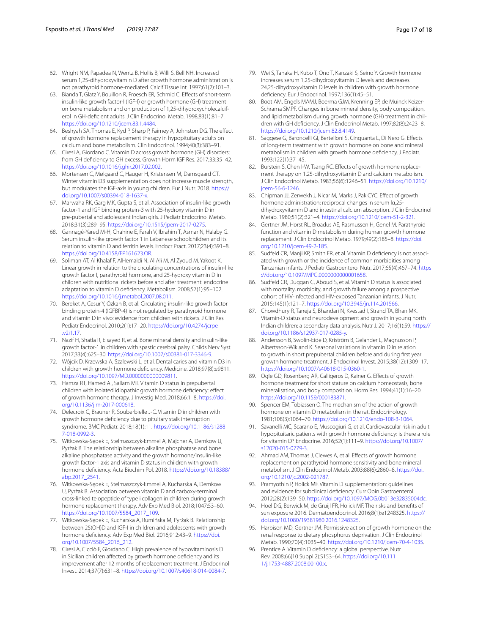- <span id="page-16-0"></span>62. Wright NM, Papadea N, Wentz B, Hollis B, Willi S, Bell NH. Increased serum 1,25-dihydroxyvitamin D after growth hormone administration is not parathyroid hormone-mediated. Calcif Tissue Int. 1997;61(2):101–3.
- 63. Bianda T, Glatz Y, Bouillon R, Froesch ER, Schmid C. Efects of short-term insulin-like growth factor-I (IGF-I) or growth hormone (GH) treatment on bone metabolism and on production of 1,25-dihydroxycholecalciferol in GH-defcient adults. J Clin Endocrinol Metab. 1998;83(1):81–7. <https://doi.org/10.1210/jcem.83.1.4484>.
- <span id="page-16-1"></span>64. Beshyah SA, Thomas E, Kyd P, Sharp P, Fairney A, Johnston DG. The efect of growth hormone replacement therapy in hypopituitary adults on calcium and bone metabolism. Clin Endocrinol. 1994;40(3):383–91.
- <span id="page-16-2"></span>65. Ciresi A, Giordano C. Vitamin D across growth hormone (GH) disorders: from GH defciency to GH excess. Growth Horm IGF Res. 2017;33:35–42. <https://doi.org/10.1016/j.ghir.2017.02.002>.
- <span id="page-16-5"></span>66. Mortensen C, Mølgaard C, Hauger H, Kristensen M, Damsgaard CT. Winter vitamin D3 supplementation does not increase muscle strength, but modulates the IGF-axis in young children. Eur J Nutr. 2018. [https://](https://doi.org/10.1007/s00394-018-1637-x) [doi.org/10.1007/s00394-018-1637-x.](https://doi.org/10.1007/s00394-018-1637-x)
- <span id="page-16-6"></span>67. Marwaha RK, Garg MK, Gupta S, et al. Association of insulin-like growth factor-1 and IGF binding protein-3 with 25-hydroxy vitamin D in pre-pubertal and adolescent Indian girls. J Pediatr Endocrinol Metab. 2018;31(3):289–95. [https://doi.org/10.1515/jpem-2017-0275.](https://doi.org/10.1515/jpem-2017-0275)
- <span id="page-16-4"></span>68. Gannagé-Yared M-H, Chahine E, Farah V, Ibrahim T, Asmar N, Halaby G. Serum insulin-like growth factor 1 in Lebanese schoolchildren and its relation to vitamin D and ferritin levels. Endocr Pract. 2017;23(4):391–8. <https://doi.org/10.4158/EP161623.OR>.
- <span id="page-16-7"></span>69. Soliman AT, Al Khalaf F, AlHemaidi N, Al Ali M, Al Zyoud M, Yakoot K. Linear growth in relation to the circulating concentrations of insulin-like growth factor I, parathyroid hormone, and 25-hydroxy vitamin D in children with nutritional rickets before and after treatment: endocrine adaptation to vitamin D defciency. Metabolism. 2008;57(1):95–102. [https://doi.org/10.1016/j.metabol.2007.08.011.](https://doi.org/10.1016/j.metabol.2007.08.011)
- <span id="page-16-8"></span>70. Bereket A, Cesur Y, Özkan B, et al. Circulating insulin-like growth factor binding protein-4 (IGFBP-4) is not regulated by parathyroid hormone and vitamin D in vivo: evidence from children with rickets. J Clin Res Pediatr Endocrinol. 2010;2(1):17–20. [https://doi.org/10.4274/jcrpe](https://doi.org/10.4274/jcrpe.v2i1.17) [.v2i1.17](https://doi.org/10.4274/jcrpe.v2i1.17).
- <span id="page-16-3"></span>71. Nazif H, Shatla R, Elsayed R, et al. Bone mineral density and insulin-like growth factor-1 in children with spastic cerebral palsy. Childs Nerv Syst. 2017;33(4):625–30.<https://doi.org/10.1007/s00381-017-3346-9>.
- <span id="page-16-9"></span>72. Wójcik D, Krzewska A, Szalewski L, et al. Dental caries and vitamin D3 in children with growth hormone defciency. Medicine. 2018;97(8):e9811. <https://doi.org/10.1097/MD.0000000000009811>.
- <span id="page-16-13"></span>73. Hamza RT, Hamed AI, Sallam MT. Vitamin D status in prepubertal children with isolated idiopathic growth hormone defciency: efect of growth hormone therapy. J Investig Med. 2018;66:1–8. [https://doi.](https://doi.org/10.1136/jim-2017-000618) [org/10.1136/jim-2017-000618](https://doi.org/10.1136/jim-2017-000618).
- <span id="page-16-11"></span>74. Delecroix C, Brauner R, Souberbielle J-C. Vitamin D in children with growth hormone defciency due to pituitary stalk interruption syndrome. BMC Pediatr. 2018;18(1):11. [https://doi.org/10.1186/s1288](https://doi.org/10.1186/s12887-018-0992-3) [7-018-0992-3.](https://doi.org/10.1186/s12887-018-0992-3)
- <span id="page-16-14"></span>75. Witkowska-Sędek E, Stelmaszczyk-Emmel A, Majcher A, Demkow U, Pyrżak B. The relationship between alkaline phosphatase and bone alkaline phosphatase activity and the growth hormone/insulin-like growth factor-1 axis and vitamin D status in children with growth hormone defciency. Acta Biochim Pol. 2018. [https://doi.org/10.18388/](https://doi.org/10.18388/abp.2017_2541) [abp.2017\\_2541](https://doi.org/10.18388/abp.2017_2541).
- <span id="page-16-15"></span>76. Witkowska-Sędek E, Stelmaszczyk-Emmel A, Kucharska A, Demkow U, Pyrżak B. Association between vitamin D and carboxy-terminal cross-linked telopeptide of type i collagen in children during growth hormone replacement therapy. Adv Exp Med Biol. 2018;1047:53–60. [https://doi.org/10.1007/5584\\_2017\\_109.](https://doi.org/10.1007/5584_2017_109)
- <span id="page-16-12"></span>77. Witkowska-Sędek E, Kucharska A, Rumińska M, Pyrżak B. Relationship between 25(OH)D and IGF-I in children and adolescents with growth hormone deficiency. Adv Exp Med Biol. 2016;912:43-9. [https://doi.](https://doi.org/10.1007/5584_2016_212) [org/10.1007/5584\\_2016\\_212.](https://doi.org/10.1007/5584_2016_212)
- <span id="page-16-16"></span>78. Ciresi A, Cicciò F, Giordano C. High prevalence of hypovitaminosis D in Sicilian children affected by growth hormone deficiency and its improvement after 12 months of replacement treatment. J Endocrinol Invest. 2014;37(7):631–8.<https://doi.org/10.1007/s40618-014-0084-7>.
- <span id="page-16-17"></span>79. Wei S, Tanaka H, Kubo T, Ono T, Kanzaki S, Seino Y. Growth hormone increases serum 1,25-dihydroxyvitamin D levels and decreases 24,25-dihydroxyvitamin D levels in children with growth hormone defciency. Eur J Endocrinol. 1997;136(1):45–51.
- <span id="page-16-18"></span>80. Boot AM, Engels MAMJ, Boerma GJM, Krenning EP, de Muinck Keizer-Schrama SMPF. Changes in bone mineral density, body composition, and lipid metabolism during growth hormone (GH) treatment in children with GH defciency. J Clin Endocrinol Metab. 1997;82(8):2423–8. <https://doi.org/10.1210/jcem.82.8.4149>.
- <span id="page-16-19"></span>81. Saggese G, Baroncelli GI, Bertelloni S, Cinquanta L, Di Nero G. Efects of long-term treatment with growth hormone on bone and mineral metabolism in children with growth hormone defciency. J Pediatr. 1993;122(1):37–45.
- <span id="page-16-20"></span>82. Burstein S, Chen I-W, Tsang RC. Efects of growth hormone replacement therapy on 1,25-dihydroxyvitamin D and calcium metabolism. J Clin Endocrinol Metab. 1983;56(6):1246–51. [https://doi.org/10.1210/](https://doi.org/10.1210/jcem-56-6-1246) [jcem-56-6-1246](https://doi.org/10.1210/jcem-56-6-1246).
- <span id="page-16-21"></span>83. Chipman JJ, Zerwekh J, Nicar M, Marks J, Pak CYC. Efect of growth hormone administration: reciprocal changes in serum lα,25 dihydroxyvitamin D and intestinal calcium absorption. J Clin Endocrinol Metab. 1980;51(2):321–4.<https://doi.org/10.1210/jcem-51-2-321>.
- <span id="page-16-10"></span>84. Gertner JM, Horst RL, Broadus AE, Rasmussen H, Genel M. Parathyroid function and vitamin D metabolism during human growth hormone replacement. J Clin Endocrinol Metab. 1979;49(2):185–8. [https://doi.](https://doi.org/10.1210/jcem-49-2-185) [org/10.1210/jcem-49-2-185](https://doi.org/10.1210/jcem-49-2-185).
- <span id="page-16-22"></span>85. Sudfeld CR, Manji KP, Smith ER, et al. Vitamin D defciency is not associated with growth or the incidence of common morbidities among Tanzanian infants. J Pediatr Gastroenterol Nutr. 2017;65(4):467–74. [https](https://doi.org/10.1097/MPG.0000000000001658) [://doi.org/10.1097/MPG.0000000000001658.](https://doi.org/10.1097/MPG.0000000000001658)
- <span id="page-16-23"></span>86. Sudfeld CR, Duggan C, Aboud S, et al. Vitamin D status is associated with mortality, morbidity, and growth failure among a prospective cohort of HIV-infected and HIV-exposed Tanzanian infants. J Nutr. 2015;145(1):121–7.<https://doi.org/10.3945/jn.114.201566>.
- <span id="page-16-24"></span>87. Chowdhury R, Taneja S, Bhandari N, Kvestad I, Strand TA, Bhan MK. Vitamin-D status and neurodevelopment and growth in young north Indian children: a secondary data analysis. Nutr J. 2017;16(1):59. [https://](https://doi.org/10.1186/s12937-017-0285-y) [doi.org/10.1186/s12937-017-0285-y](https://doi.org/10.1186/s12937-017-0285-y).
- <span id="page-16-25"></span>88. Andersson B, Swolin-Eide D, Kriström B, Gelander L, Magnusson P, Albertsson-Wikland K. Seasonal variations in vitamin D in relation to growth in short prepubertal children before and during frst year growth hormone treatment. J Endocrinol Invest. 2015;38(12):1309–17. <https://doi.org/10.1007/s40618-015-0360-1>.
- <span id="page-16-26"></span>89. Ogle GD, Rosenberg AR, Calligeros D, Kainer G. Efects of growth hormone treatment for short stature on calcium homeostasis, bone mineralisation, and body composition. Horm Res. 1994;41(1):16–20. <https://doi.org/10.1159/000183871>.
- <span id="page-16-27"></span>90. Spencer EM, Tobiassen O. The mechanism of the action of growth hormone on vitamin D metabolism in the rat. Endocrinology. 1981;108(3):1064–70. <https://doi.org/10.1210/endo-108-3-1064>.
- <span id="page-16-28"></span>91. Savanelli MC, Scarano E, Muscogiuri G, et al. Cardiovascular risk in adult hypopituitaric patients with growth hormone defciency: is there a role for vitamin D? Endocrine. 2016;52(1):111–9. [https://doi.org/10.1007/](https://doi.org/10.1007/s12020-015-0779-3) [s12020-015-0779-3](https://doi.org/10.1007/s12020-015-0779-3).
- <span id="page-16-29"></span>92. Ahmad AM, Thomas J, Clewes A, et al. Effects of growth hormone replacement on parathyroid hormone sensitivity and bone mineral metabolism. J Clin Endocrinol Metab. 2003;88(6):2860–8. [https://doi.](https://doi.org/10.1210/jc.2002-021787) [org/10.1210/jc.2002-021787](https://doi.org/10.1210/jc.2002-021787).
- <span id="page-16-30"></span>93. Pramyothin P, Holick MF. Vitamin D supplementation: guidelines and evidence for subclinical defciency. Curr Opin Gastroenterol. 2012;28(2):139–50.<https://doi.org/10.1097/MOG.0b013e32835004dc>.
- <span id="page-16-31"></span>94. Hoel DG, Berwick M, de Gruijl FR, Holick MF. The risks and benefts of sun exposure 2016. Dermatoendocrinol. 2016;8(1):e1248325. [https://](https://doi.org/10.1080/19381980.2016.1248325) [doi.org/10.1080/19381980.2016.1248325](https://doi.org/10.1080/19381980.2016.1248325).
- <span id="page-16-32"></span>95. Harbison MD, Gertner JM. Permissive action of growth hormone on the renal response to dietary phosphorus deprivation. J Clin Endocrinol Metab. 1990;70(4):1035–40.<https://doi.org/10.1210/jcem-70-4-1035>.
- <span id="page-16-33"></span>Prentice A. Vitamin D deficiency: a global perspective. Nutr Rev. 2008;66(10 Suppl 2):S153–64. [https://doi.org/10.111](https://doi.org/10.1111/j.1753-4887.2008.00100.x) [1/j.1753-4887.2008.00100.x](https://doi.org/10.1111/j.1753-4887.2008.00100.x).